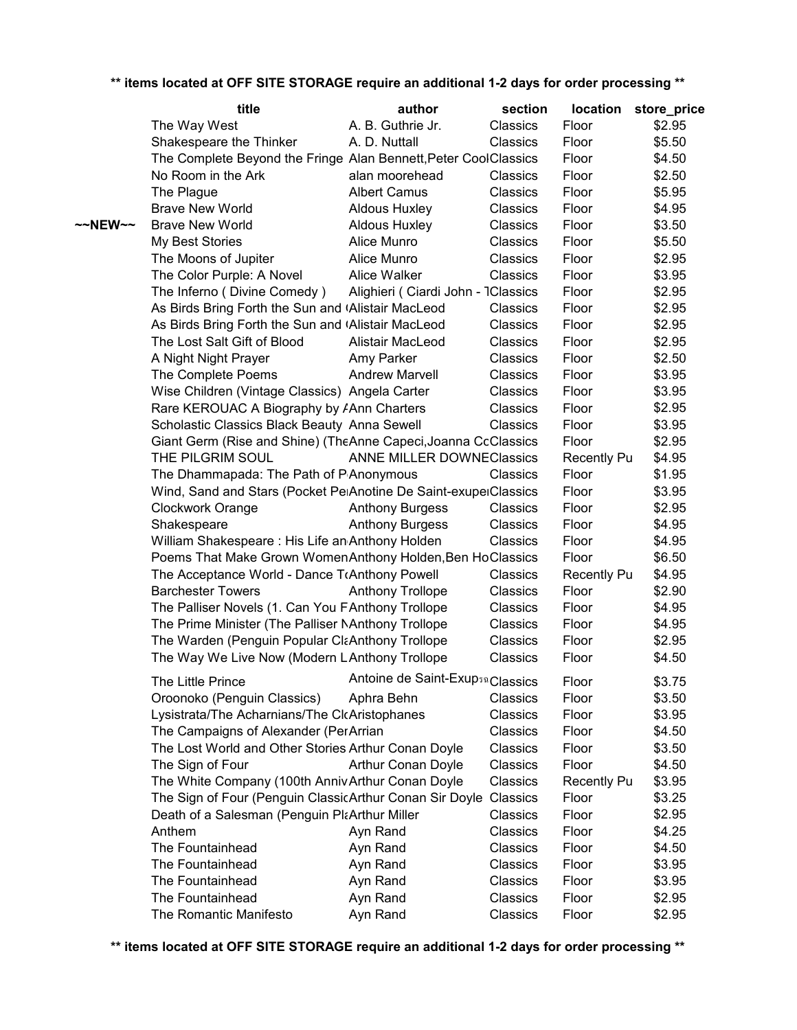|                     | title                                                           | author                             | section         | location           | store_price |  |
|---------------------|-----------------------------------------------------------------|------------------------------------|-----------------|--------------------|-------------|--|
|                     | The Way West                                                    | A. B. Guthrie Jr.                  | Classics        | Floor              | \$2.95      |  |
|                     | Shakespeare the Thinker                                         | A. D. Nuttall                      | Classics        | Floor              | \$5.50      |  |
|                     | The Complete Beyond the Fringe Alan Bennett, Peter CoolClassics |                                    |                 | Floor              | \$4.50      |  |
|                     | No Room in the Ark                                              | alan moorehead                     | <b>Classics</b> | Floor              | \$2.50      |  |
|                     | The Plague                                                      | <b>Albert Camus</b>                | <b>Classics</b> | Floor              | \$5.95      |  |
|                     | <b>Brave New World</b>                                          | <b>Aldous Huxley</b>               | Classics        | Floor              | \$4.95      |  |
| $~\sim$ NEW $~\sim$ | <b>Brave New World</b>                                          | Aldous Huxley                      | Classics        | Floor              | \$3.50      |  |
|                     | My Best Stories                                                 | Alice Munro                        | Classics        | Floor              | \$5.50      |  |
|                     | The Moons of Jupiter                                            | Alice Munro                        | Classics        | Floor              | \$2.95      |  |
|                     | The Color Purple: A Novel                                       | <b>Alice Walker</b>                | Classics        | Floor              | \$3.95      |  |
|                     | The Inferno (Divine Comedy)                                     | Alighieri (Ciardi John - 1Classics |                 | Floor              | \$2.95      |  |
|                     | As Birds Bring Forth the Sun and (Alistair MacLeod              |                                    | Classics        | Floor              | \$2.95      |  |
|                     | As Birds Bring Forth the Sun and (Alistair MacLeod              |                                    | Classics        | Floor              | \$2.95      |  |
|                     | The Lost Salt Gift of Blood                                     | Alistair MacLeod                   | Classics        | Floor              | \$2.95      |  |
|                     | A Night Night Prayer                                            | Amy Parker                         | Classics        | Floor              | \$2.50      |  |
|                     | The Complete Poems                                              | <b>Andrew Marvell</b>              | Classics        | Floor              | \$3.95      |  |
|                     | Wise Children (Vintage Classics) Angela Carter                  |                                    | Classics        | Floor              | \$3.95      |  |
|                     | Rare KEROUAC A Biography by <i>A</i> Ann Charters               |                                    | Classics        | Floor              | \$2.95      |  |
|                     | Scholastic Classics Black Beauty Anna Sewell                    |                                    | Classics        | Floor              | \$3.95      |  |
|                     | Giant Germ (Rise and Shine) (TheAnne Capeci, Joanna CcClassics  |                                    |                 | Floor              | \$2.95      |  |
|                     | THE PILGRIM SOUL                                                | <b>ANNE MILLER DOWNECIassics</b>   |                 | <b>Recently Pu</b> | \$4.95      |  |
|                     | The Dhammapada: The Path of PAnonymous                          |                                    | <b>Classics</b> | Floor              | \$1.95      |  |
|                     | Wind, Sand and Stars (Pocket PelAnotine De Saint-exupelClassics |                                    |                 | Floor              | \$3.95      |  |
|                     | <b>Clockwork Orange</b>                                         | <b>Anthony Burgess</b>             | Classics        | Floor              | \$2.95      |  |
|                     | Shakespeare                                                     | <b>Anthony Burgess</b>             | Classics        | Floor              | \$4.95      |  |
|                     | William Shakespeare: His Life an Anthony Holden                 |                                    | Classics        | Floor              | \$4.95      |  |
|                     | Poems That Make Grown WomenAnthony Holden, Ben HoClassics       |                                    |                 | Floor              | \$6.50      |  |
|                     | The Acceptance World - Dance TrAnthony Powell                   |                                    | Classics        | <b>Recently Pu</b> | \$4.95      |  |
|                     | <b>Barchester Towers</b>                                        | <b>Anthony Trollope</b>            | Classics        | Floor              | \$2.90      |  |
|                     | The Palliser Novels (1. Can You FAnthony Trollope               |                                    | Classics        | Floor              | \$4.95      |  |
|                     | The Prime Minister (The Palliser NAnthony Trollope              |                                    | Classics        | Floor              | \$4.95      |  |
|                     | The Warden (Penguin Popular ClaAnthony Trollope                 |                                    | Classics        | Floor              | \$2.95      |  |
|                     | The Way We Live Now (Modern LAnthony Trollope                   |                                    | Classics        | Floor              | \$4.50      |  |
|                     |                                                                 |                                    |                 |                    |             |  |
|                     | The Little Prince                                               | Antoine de Saint-ExupsaClassics    |                 | Floor              | \$3.75      |  |
|                     | Oroonoko (Penguin Classics)                                     | Aphra Behn                         | Classics        | Floor              | \$3.50      |  |
|                     | Lysistrata/The Acharnians/The ClcAristophanes                   |                                    | Classics        | Floor              | \$3.95      |  |
|                     | The Campaigns of Alexander (PerArrian                           |                                    | Classics        | Floor              | \$4.50      |  |
|                     | The Lost World and Other Stories Arthur Conan Doyle             |                                    | Classics        | Floor              | \$3.50      |  |
|                     | The Sign of Four                                                | <b>Arthur Conan Doyle</b>          | Classics        | Floor              | \$4.50      |  |
|                     | The White Company (100th Anniv Arthur Conan Doyle               |                                    | Classics        | <b>Recently Pu</b> | \$3.95      |  |
|                     | The Sign of Four (Penguin ClassicArthur Conan Sir Doyle         |                                    | Classics        | Floor              | \$3.25      |  |
|                     | Death of a Salesman (Penguin PlaArthur Miller                   |                                    | Classics        | Floor              | \$2.95      |  |
|                     | Anthem                                                          | Ayn Rand                           | Classics        | Floor              | \$4.25      |  |
|                     | The Fountainhead                                                | Ayn Rand                           | Classics        | Floor              | \$4.50      |  |
|                     | The Fountainhead                                                | Ayn Rand                           | Classics        | Floor              | \$3.95      |  |
|                     | The Fountainhead                                                | Ayn Rand                           | Classics        | Floor              | \$3.95      |  |
|                     | The Fountainhead                                                | Ayn Rand                           | Classics        | Floor              | \$2.95      |  |
|                     | The Romantic Manifesto                                          | Ayn Rand                           | Classics        | Floor              | \$2.95      |  |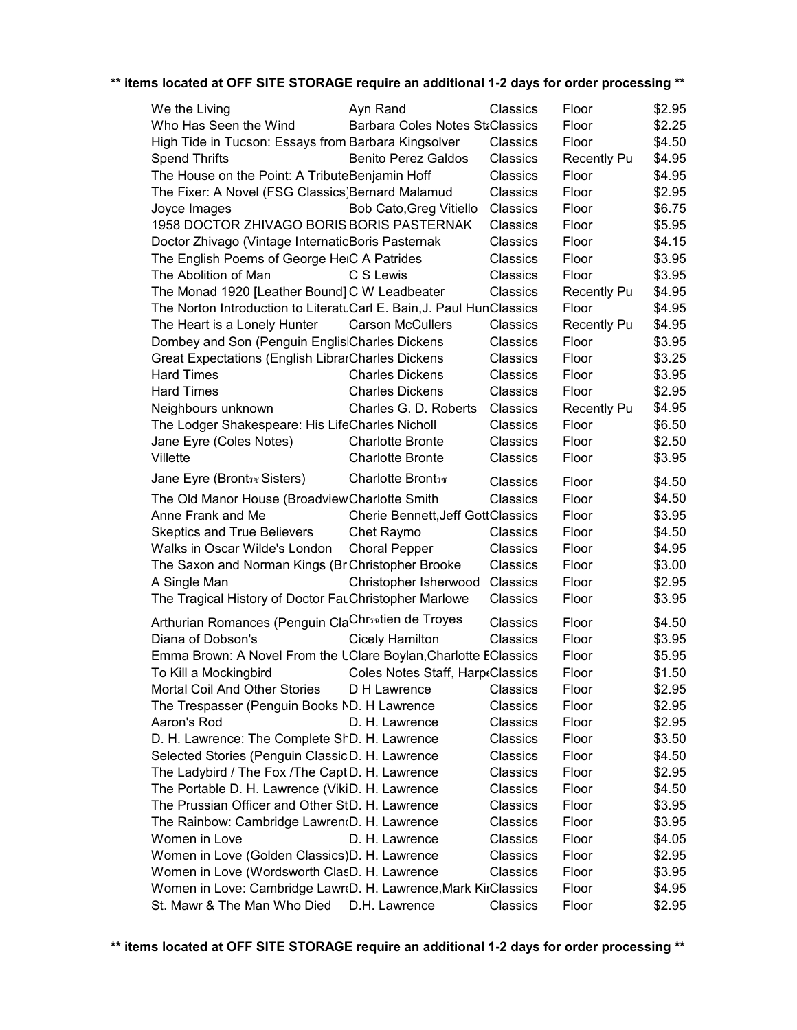| We the Living                                                        | Ayn Rand                                 | Classics | Floor              | \$2.95 |
|----------------------------------------------------------------------|------------------------------------------|----------|--------------------|--------|
| Who Has Seen the Wind                                                | <b>Barbara Coles Notes StaClassics</b>   |          | Floor              | \$2.25 |
| High Tide in Tucson: Essays from Barbara Kingsolver                  |                                          | Classics | Floor              | \$4.50 |
| <b>Spend Thrifts</b>                                                 | <b>Benito Perez Galdos</b>               | Classics | <b>Recently Pu</b> | \$4.95 |
| The House on the Point: A TributeBenjamin Hoff                       |                                          | Classics | Floor              | \$4.95 |
| The Fixer: A Novel (FSG Classics) Bernard Malamud                    |                                          | Classics | Floor              | \$2.95 |
| Joyce Images                                                         | Bob Cato, Greg Vitiello                  | Classics | Floor              | \$6.75 |
| 1958 DOCTOR ZHIVAGO BORIS BORIS PASTERNAK                            |                                          | Classics | Floor              | \$5.95 |
| Doctor Zhivago (Vintage InternatioBoris Pasternak                    |                                          | Classics | Floor              | \$4.15 |
| The English Poems of George HeiC A Patrides                          |                                          | Classics | Floor              | \$3.95 |
| The Abolition of Man                                                 | C S Lewis                                | Classics | Floor              | \$3.95 |
| The Monad 1920 [Leather Bound] C W Leadbeater                        |                                          | Classics | <b>Recently Pu</b> | \$4.95 |
| The Norton Introduction to LiteratuCarl E. Bain, J. Paul HunClassics |                                          |          | Floor              | \$4.95 |
| The Heart is a Lonely Hunter                                         | <b>Carson McCullers</b>                  | Classics | <b>Recently Pu</b> | \$4.95 |
| Dombey and Son (Penguin Englis Charles Dickens                       |                                          | Classics | Floor              | \$3.95 |
| <b>Great Expectations (English LibrarCharles Dickens</b>             |                                          | Classics | Floor              | \$3.25 |
| <b>Hard Times</b>                                                    | <b>Charles Dickens</b>                   | Classics | Floor              | \$3.95 |
| <b>Hard Times</b>                                                    | <b>Charles Dickens</b>                   | Classics | Floor              | \$2.95 |
| Neighbours unknown                                                   | Charles G. D. Roberts                    | Classics | <b>Recently Pu</b> | \$4.95 |
| The Lodger Shakespeare: His LifeCharles Nicholl                      |                                          | Classics | Floor              | \$6.50 |
| Jane Eyre (Coles Notes)                                              | <b>Charlotte Bronte</b>                  | Classics | Floor              | \$2.50 |
| Villette                                                             | <b>Charlotte Bronte</b>                  | Classics | Floor              | \$3.95 |
| Jane Eyre (Bront sw Sisters)                                         | <b>Charlotte Brontsw</b>                 | Classics | Floor              | \$4.50 |
| The Old Manor House (Broadview Charlotte Smith                       |                                          | Classics | Floor              | \$4.50 |
| Anne Frank and Me                                                    | <b>Cherie Bennett, Jeff GottClassics</b> |          | Floor              | \$3.95 |
| <b>Skeptics and True Believers</b>                                   | Chet Raymo                               | Classics | Floor              | \$4.50 |
| Walks in Oscar Wilde's London                                        | <b>Choral Pepper</b>                     | Classics | Floor              | \$4.95 |
| The Saxon and Norman Kings (BriChristopher Brooke                    |                                          | Classics | Floor              | \$3.00 |
| A Single Man                                                         | Christopher Isherwood                    | Classics | Floor              | \$2.95 |
| The Tragical History of Doctor Fat Christopher Marlowe               |                                          | Classics | Floor              | \$3.95 |
| Arthurian Romances (Penguin ClaChrsatien de Troyes                   |                                          | Classics | Floor              | \$4.50 |
| Diana of Dobson's                                                    | <b>Cicely Hamilton</b>                   | Classics | Floor              | \$3.95 |
| Emma Brown: A Novel From the LClare Boylan, Charlotte EClassics      |                                          |          | Floor              | \$5.95 |
| To Kill a Mockingbird                                                | Coles Notes Staff, Harp Classics         |          | Floor              | \$1.50 |
| Mortal Coil And Other Stories                                        | D H Lawrence                             | Classics | Floor              | \$2.95 |
| The Trespasser (Penguin Books ND. H Lawrence                         |                                          | Classics | Floor              | \$2.95 |
| Aaron's Rod                                                          | D. H. Lawrence                           | Classics | Floor              | \$2.95 |
| D. H. Lawrence: The Complete ShD. H. Lawrence                        |                                          | Classics | Floor              | \$3.50 |
| Selected Stories (Penguin ClassicD. H. Lawrence                      |                                          | Classics | Floor              | \$4.50 |
| The Ladybird / The Fox / The Capt D. H. Lawrence                     |                                          | Classics | Floor              | \$2.95 |
| The Portable D. H. Lawrence (VikiD. H. Lawrence                      |                                          | Classics | Floor              | \$4.50 |
| The Prussian Officer and Other StD. H. Lawrence                      |                                          | Classics | Floor              | \$3.95 |
| The Rainbow: Cambridge Lawren(D. H. Lawrence                         |                                          | Classics | Floor              | \$3.95 |
| Women in Love                                                        | D. H. Lawrence                           | Classics | Floor              | \$4.05 |
| Women in Love (Golden Classics) D. H. Lawrence                       |                                          | Classics | Floor              | \$2.95 |
| Women in Love (Wordsworth ClasD. H. Lawrence                         |                                          | Classics | Floor              | \$3.95 |
| Women in Love: Cambridge Lawr(D. H. Lawrence, Mark KiıClassics       |                                          |          | Floor              | \$4.95 |
| St. Mawr & The Man Who Died                                          | D.H. Lawrence                            | Classics | Floor              | \$2.95 |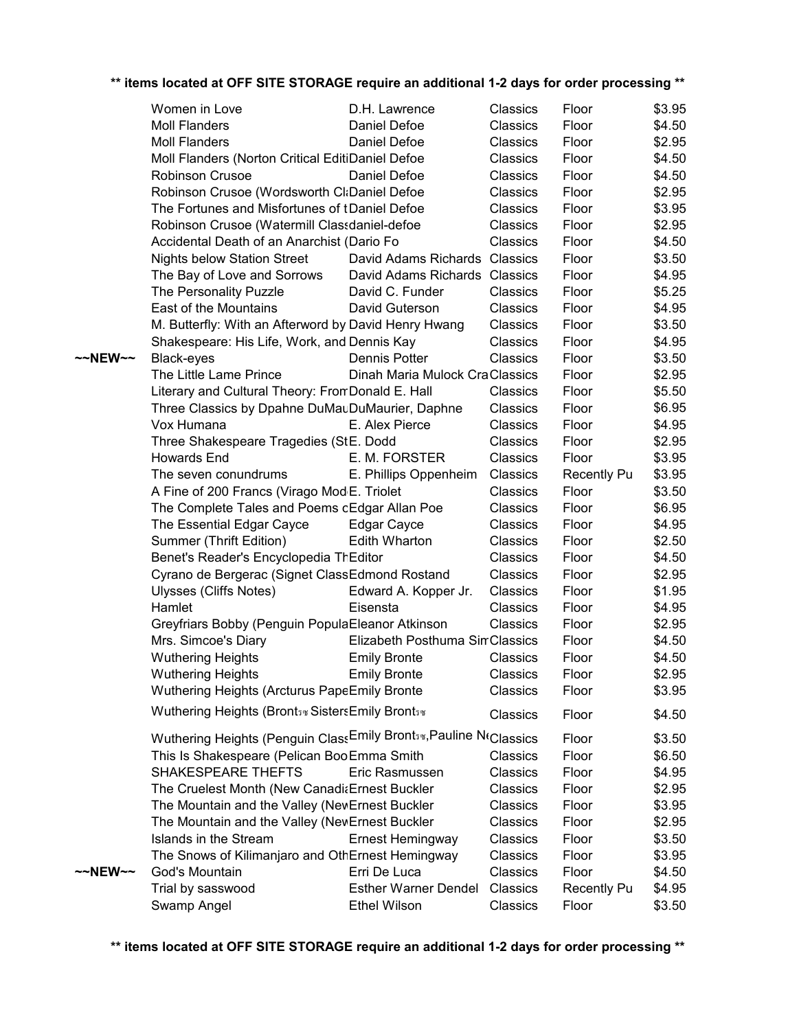|  | ** items located at OFF SITE STORAGE require an additional 1-2 days for order processing ** |  |  |  |
|--|---------------------------------------------------------------------------------------------|--|--|--|

|         | Women in Love                                                      | D.H. Lawrence                   | Classics        | Floor              | \$3.95 |
|---------|--------------------------------------------------------------------|---------------------------------|-----------------|--------------------|--------|
|         | <b>Moll Flanders</b>                                               | Daniel Defoe                    | <b>Classics</b> | Floor              | \$4.50 |
|         | <b>Moll Flanders</b>                                               | Daniel Defoe                    | Classics        | Floor              | \$2.95 |
|         | Moll Flanders (Norton Critical EditiDaniel Defoe                   |                                 | Classics        | Floor              | \$4.50 |
|         | Robinson Crusoe                                                    | Daniel Defoe                    | Classics        | Floor              | \$4.50 |
|         | Robinson Crusoe (Wordsworth Cl:Daniel Defoe                        |                                 | Classics        | Floor              | \$2.95 |
|         | The Fortunes and Misfortunes of tDaniel Defoe                      |                                 | Classics        | Floor              | \$3.95 |
|         | Robinson Crusoe (Watermill Classdaniel-defoe                       |                                 | Classics        | Floor              | \$2.95 |
|         | Accidental Death of an Anarchist (Dario Fo                         |                                 | Classics        | Floor              | \$4.50 |
|         | <b>Nights below Station Street</b>                                 | David Adams Richards Classics   |                 | Floor              | \$3.50 |
|         | The Bay of Love and Sorrows                                        | David Adams Richards Classics   |                 | Floor              | \$4.95 |
|         | The Personality Puzzle                                             | David C. Funder                 | Classics        | Floor              | \$5.25 |
|         | East of the Mountains                                              | David Guterson                  | Classics        | Floor              | \$4.95 |
|         | M. Butterfly: With an Afterword by David Henry Hwang               |                                 | Classics        | Floor              | \$3.50 |
|         | Shakespeare: His Life, Work, and Dennis Kay                        |                                 | Classics        | Floor              | \$4.95 |
| ~~NEW~~ | Black-eyes                                                         | Dennis Potter                   | Classics        | Floor              | \$3.50 |
|         | The Little Lame Prince                                             | Dinah Maria Mulock CraClassics  |                 | Floor              | \$2.95 |
|         | Literary and Cultural Theory: From Donald E. Hall                  |                                 | Classics        | Floor              | \$5.50 |
|         | Three Classics by Dpahne DuMauDuMaurier, Daphne                    |                                 | Classics        | Floor              | \$6.95 |
|         | Vox Humana                                                         | E. Alex Pierce                  | Classics        | Floor              | \$4.95 |
|         | Three Shakespeare Tragedies (StE. Dodd                             |                                 | Classics        | Floor              | \$2.95 |
|         | Howards End                                                        | E. M. FORSTER                   | <b>Classics</b> | Floor              | \$3.95 |
|         | The seven conundrums                                               | E. Phillips Oppenheim           | Classics        | <b>Recently Pu</b> | \$3.95 |
|         | A Fine of 200 Francs (Virago Mod <sub>'</sub> E. Triolet           |                                 | Classics        | Floor              | \$3.50 |
|         | The Complete Tales and Poems cEdgar Allan Poe                      |                                 | Classics        | Floor              | \$6.95 |
|         | The Essential Edgar Cayce                                          | Edgar Cayce                     | Classics        | Floor              | \$4.95 |
|         | Summer (Thrift Edition)                                            | Edith Wharton                   | Classics        | Floor              | \$2.50 |
|         | Benet's Reader's Encyclopedia ThEditor                             |                                 | Classics        | Floor              | \$4.50 |
|         | Cyrano de Bergerac (Signet ClassEdmond Rostand                     |                                 | Classics        | Floor              | \$2.95 |
|         | Ulysses (Cliffs Notes)                                             | Edward A. Kopper Jr.            | Classics        | Floor              | \$1.95 |
|         | Hamlet                                                             | Eisensta                        | Classics        | Floor              | \$4.95 |
|         | Greyfriars Bobby (Penguin PopulaEleanor Atkinson                   |                                 | Classics        | Floor              | \$2.95 |
|         | Mrs. Simcoe's Diary                                                | Elizabeth Posthuma Sin Classics |                 | Floor              | \$4.50 |
|         | <b>Wuthering Heights</b>                                           | <b>Emily Bronte</b>             | Classics        | Floor              | \$4.50 |
|         | <b>Wuthering Heights</b>                                           | <b>Emily Bronte</b>             | Classics        | Floor              | \$2.95 |
|         | Wuthering Heights (Arcturus PapeEmily Bronte                       |                                 | Classics        | Floor              | \$3.95 |
|         | Wuthering Heights (Brontsw Sisters Emily Brontsw                   |                                 |                 |                    |        |
|         |                                                                    |                                 | Classics        | Floor              | \$4.50 |
|         | Wuthering Heights (Penguin ClassEmily Bronts*, Pauline Nt Classics |                                 |                 | Floor              | \$3.50 |
|         | This Is Shakespeare (Pelican Boo Emma Smith                        |                                 | Classics        | Floor              | \$6.50 |
|         | SHAKESPEARE THEFTS                                                 | Eric Rasmussen                  | Classics        | Floor              | \$4.95 |
|         | The Cruelest Month (New Canadi Ernest Buckler                      |                                 | Classics        | Floor              | \$2.95 |
|         | The Mountain and the Valley (NewErnest Buckler                     |                                 | Classics        | Floor              | \$3.95 |
|         | The Mountain and the Valley (NewErnest Buckler                     |                                 | Classics        | Floor              | \$2.95 |
|         | Islands in the Stream                                              | Ernest Hemingway                | Classics        | Floor              | \$3.50 |
|         | The Snows of Kilimanjaro and OthErnest Hemingway                   |                                 | Classics        | Floor              | \$3.95 |
| ~~NEW~~ | God's Mountain                                                     | Erri De Luca                    | Classics        | Floor              | \$4.50 |
|         | Trial by sasswood                                                  | <b>Esther Warner Dendel</b>     | Classics        | <b>Recently Pu</b> | \$4.95 |
|         | Swamp Angel                                                        | <b>Ethel Wilson</b>             | Classics        | Floor              | \$3.50 |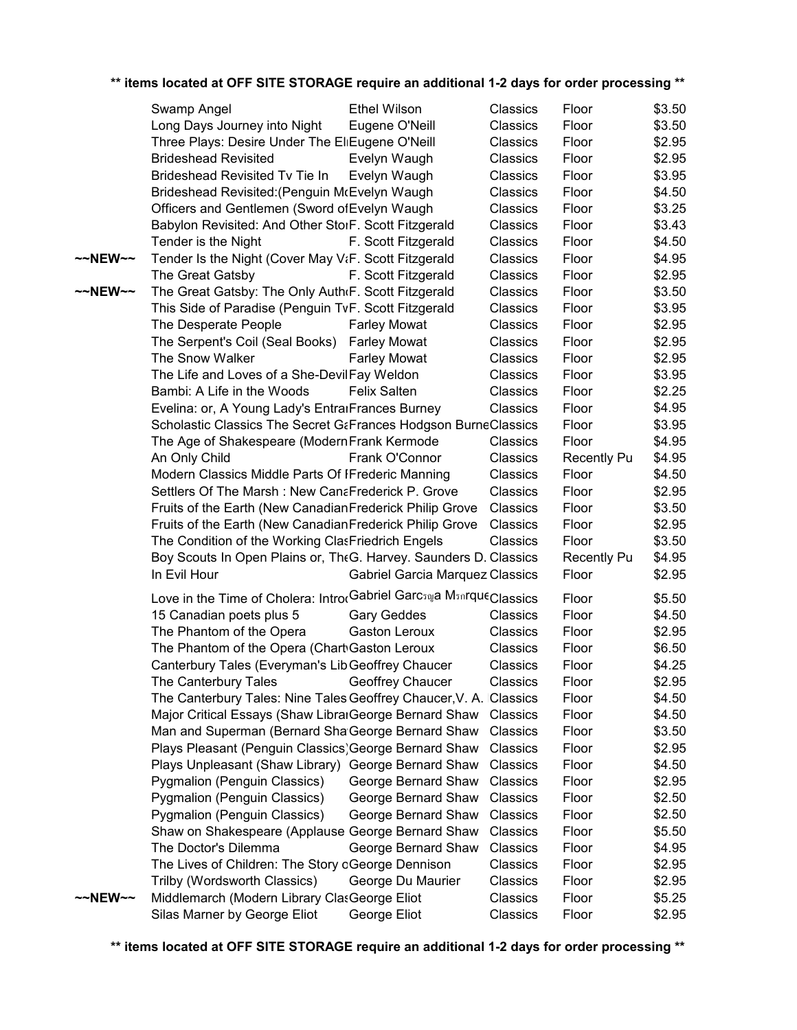|         | Swamp Angel                                                          | <b>Ethel Wilson</b>                    | Classics | Floor              | \$3.50 |
|---------|----------------------------------------------------------------------|----------------------------------------|----------|--------------------|--------|
|         | Long Days Journey into Night                                         | Eugene O'Neill                         | Classics | Floor              | \$3.50 |
|         | Three Plays: Desire Under The EliEugene O'Neill                      |                                        | Classics | Floor              | \$2.95 |
|         | <b>Brideshead Revisited</b>                                          | Evelyn Waugh                           | Classics | Floor              | \$2.95 |
|         | Brideshead Revisited Tv Tie In                                       | Evelyn Waugh                           | Classics | Floor              | \$3.95 |
|         | Brideshead Revisited: (Penguin McEvelyn Waugh                        |                                        | Classics | Floor              | \$4.50 |
|         | Officers and Gentlemen (Sword of Evelyn Waugh                        |                                        | Classics | Floor              | \$3.25 |
|         | Babylon Revisited: And Other StorF. Scott Fitzgerald                 |                                        | Classics | Floor              | \$3.43 |
|         | Tender is the Night                                                  | F. Scott Fitzgerald                    | Classics | Floor              | \$4.50 |
| ~~NEW~~ | Tender Is the Night (Cover May VtF. Scott Fitzgerald                 |                                        | Classics | Floor              | \$4.95 |
|         | The Great Gatsby                                                     | F. Scott Fitzgerald                    | Classics | Floor              | \$2.95 |
| ~~NEW~~ | The Great Gatsby: The Only Auth(F. Scott Fitzgerald                  |                                        | Classics | Floor              | \$3.50 |
|         | This Side of Paradise (Penguin TvF. Scott Fitzgerald                 |                                        | Classics | Floor              | \$3.95 |
|         | The Desperate People                                                 | <b>Farley Mowat</b>                    | Classics | Floor              | \$2.95 |
|         | The Serpent's Coil (Seal Books) Farley Mowat                         |                                        | Classics | Floor              | \$2.95 |
|         | The Snow Walker                                                      | <b>Farley Mowat</b>                    | Classics | Floor              | \$2.95 |
|         | The Life and Loves of a She-DevilFay Weldon                          |                                        | Classics | Floor              | \$3.95 |
|         | Bambi: A Life in the Woods                                           | <b>Felix Salten</b>                    | Classics | Floor              | \$2.25 |
|         | Evelina: or, A Young Lady's EntrarFrances Burney                     |                                        | Classics | Floor              | \$4.95 |
|         | Scholastic Classics The Secret G&Frances Hodgson BurneClassics       |                                        |          | Floor              | \$3.95 |
|         | The Age of Shakespeare (Modern Frank Kermode                         |                                        | Classics | Floor              | \$4.95 |
|         | An Only Child                                                        | Frank O'Connor                         | Classics | <b>Recently Pu</b> | \$4.95 |
|         | Modern Classics Middle Parts Of IFrederic Manning                    |                                        | Classics | Floor              | \$4.50 |
|         | Settlers Of The Marsh: New CanaFrederick P. Grove                    |                                        | Classics | Floor              | \$2.95 |
|         | Fruits of the Earth (New Canadian Frederick Philip Grove             |                                        | Classics | Floor              | \$3.50 |
|         | Fruits of the Earth (New Canadian Frederick Philip Grove             |                                        | Classics | Floor              | \$2.95 |
|         | The Condition of the Working ClasFriedrich Engels                    |                                        | Classics | Floor              | \$3.50 |
|         | Boy Scouts In Open Plains or, TheG. Harvey. Saunders D. Classics     |                                        |          | <b>Recently Pu</b> | \$4.95 |
|         | In Evil Hour                                                         | <b>Gabriel Garcia Marquez Classics</b> |          | Floor              | \$2.95 |
|         | Love in the Time of Cholera: Intro(Gabriel Garcsnua Msnrque Classics |                                        |          | Floor              | \$5.50 |
|         | 15 Canadian poets plus 5                                             | <b>Gary Geddes</b>                     | Classics | Floor              | \$4.50 |
|         | The Phantom of the Opera                                             | Gaston Leroux                          | Classics | Floor              | \$2.95 |
|         | The Phantom of the Opera (Chart Gaston Leroux                        |                                        | Classics | Floor              | \$6.50 |
|         | Canterbury Tales (Everyman's Lib Geoffrey Chaucer                    |                                        | Classics | Floor              | \$4.25 |
|         | The Canterbury Tales Geoffrey Chaucer                                |                                        | Classics | Floor              | \$2.95 |
|         | The Canterbury Tales: Nine Tales Geoffrey Chaucer, V. A. Classics    |                                        |          | Floor              | \$4.50 |
|         | Major Critical Essays (Shaw LibrarGeorge Bernard Shaw Classics       |                                        |          | Floor              | \$4.50 |
|         | Man and Superman (Bernard Sha George Bernard Shaw Classics           |                                        |          | Floor              | \$3.50 |
|         | Plays Pleasant (Penguin Classics) George Bernard Shaw Classics       |                                        |          | Floor              | \$2.95 |
|         | Plays Unpleasant (Shaw Library) George Bernard Shaw Classics         |                                        |          | Floor              | \$4.50 |
|         | Pygmalion (Penguin Classics)                                         | George Bernard Shaw                    | Classics | Floor              | \$2.95 |
|         | Pygmalion (Penguin Classics)                                         | George Bernard Shaw                    | Classics | Floor              | \$2.50 |
|         | Pygmalion (Penguin Classics)                                         | George Bernard Shaw                    | Classics | Floor              | \$2.50 |
|         | Shaw on Shakespeare (Applause George Bernard Shaw                    |                                        | Classics | Floor              | \$5.50 |
|         | The Doctor's Dilemma                                                 | George Bernard Shaw                    | Classics | Floor              | \$4.95 |
|         | The Lives of Children: The Story oGeorge Dennison                    |                                        | Classics | Floor              | \$2.95 |
|         | Trilby (Wordsworth Classics)                                         | George Du Maurier                      | Classics | Floor              | \$2.95 |
| ~~NEW~~ | Middlemarch (Modern Library ClasGeorge Eliot                         |                                        | Classics | Floor              | \$5.25 |
|         | Silas Marner by George Eliot                                         | George Eliot                           | Classics | Floor              | \$2.95 |
|         |                                                                      |                                        |          |                    |        |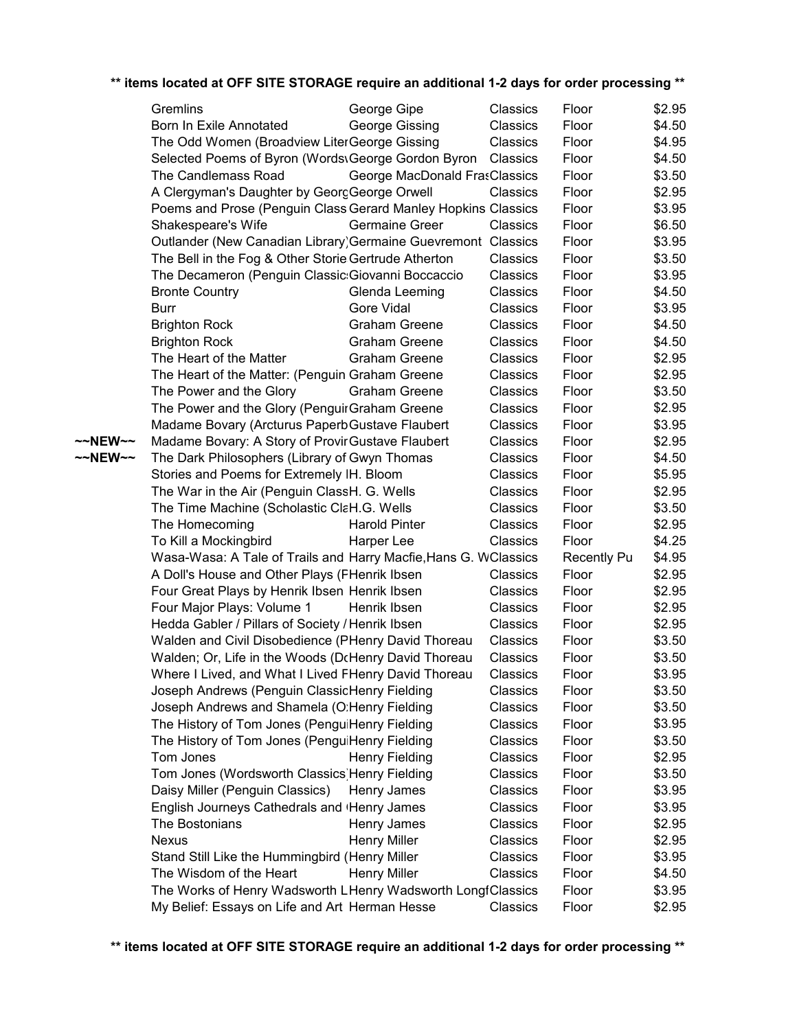|         | Gremlins                                                                                                | George Gipe                   | Classics             | Floor              | \$2.95           |
|---------|---------------------------------------------------------------------------------------------------------|-------------------------------|----------------------|--------------------|------------------|
|         | Born In Exile Annotated                                                                                 | George Gissing                | Classics             | Floor              | \$4.50           |
|         | The Odd Women (Broadview LiterGeorge Gissing                                                            |                               | Classics             | Floor              | \$4.95           |
|         | Selected Poems of Byron (Words\George Gordon Byron                                                      |                               | Classics             | Floor              | \$4.50           |
|         | The Candlemass Road                                                                                     | George MacDonald FrasClassics |                      | Floor              | \$3.50           |
|         | A Clergyman's Daughter by GeorgGeorge Orwell                                                            |                               | Classics             | Floor              | \$2.95           |
|         | Poems and Prose (Penguin ClassiGerard Manley Hopkins Classics                                           |                               |                      | Floor              | \$3.95           |
|         | Shakespeare's Wife                                                                                      | <b>Germaine Greer</b>         | Classics             | Floor              | \$6.50           |
|         | Outlander (New Canadian Library) Germaine Guevremont Classics                                           |                               |                      | Floor              | \$3.95           |
|         | The Bell in the Fog & Other Storie Gertrude Atherton                                                    |                               | Classics             | Floor              | \$3.50           |
|         | The Decameron (Penguin Classic: Giovanni Boccaccio                                                      |                               | Classics             | Floor              | \$3.95           |
|         | <b>Bronte Country</b>                                                                                   | Glenda Leeming                | Classics             | Floor              | \$4.50           |
|         | <b>Burr</b>                                                                                             | <b>Gore Vidal</b>             | Classics             | Floor              | \$3.95           |
|         | <b>Brighton Rock</b>                                                                                    | <b>Graham Greene</b>          | Classics             | Floor              | \$4.50           |
|         | <b>Brighton Rock</b>                                                                                    | <b>Graham Greene</b>          | Classics             | Floor              | \$4.50           |
|         | The Heart of the Matter                                                                                 | <b>Graham Greene</b>          | Classics             | Floor              | \$2.95           |
|         | The Heart of the Matter: (Penguin Graham Greene                                                         |                               | Classics             | Floor              | \$2.95           |
|         | The Power and the Glory                                                                                 | <b>Graham Greene</b>          | Classics             | Floor              | \$3.50           |
|         | The Power and the Glory (Penguir Graham Greene                                                          |                               | Classics             | Floor              | \$2.95           |
|         | Madame Bovary (Arcturus Paperb Gustave Flaubert                                                         |                               | Classics             | Floor              | \$3.95           |
| ~~NEW~~ | Madame Bovary: A Story of Provir Gustave Flaubert                                                       |                               | Classics             | Floor              | \$2.95           |
| ~~NEW~~ | The Dark Philosophers (Library of Gwyn Thomas                                                           |                               | Classics             | Floor              | \$4.50           |
|         | Stories and Poems for Extremely IH. Bloom                                                               |                               | Classics             | Floor              | \$5.95           |
|         | The War in the Air (Penguin ClassH. G. Wells                                                            |                               | Classics             | Floor              | \$2.95           |
|         | The Time Machine (Scholastic ClaH.G. Wells                                                              |                               | Classics             | Floor              | \$3.50           |
|         | The Homecoming                                                                                          | <b>Harold Pinter</b>          | Classics             | Floor              | \$2.95           |
|         | To Kill a Mockingbird                                                                                   | Harper Lee                    | Classics             | Floor              | \$4.25           |
|         | Wasa-Wasa: A Tale of Trails and Harry Macfie, Hans G. WClassics                                         |                               |                      | <b>Recently Pu</b> | \$4.95           |
|         | A Doll's House and Other Plays (FHenrik Ibsen                                                           |                               | Classics             | Floor              | \$2.95           |
|         | Four Great Plays by Henrik Ibsen Henrik Ibsen                                                           |                               | Classics             | Floor<br>Floor     | \$2.95           |
|         | Four Major Plays: Volume 1                                                                              | Henrik Ibsen                  | Classics<br>Classics | Floor              | \$2.95<br>\$2.95 |
|         | Hedda Gabler / Pillars of Society / Henrik Ibsen<br>Walden and Civil Disobedience (PHenry David Thoreau |                               | Classics             | Floor              | \$3.50           |
|         | Walden; Or, Life in the Woods (DrHenry David Thoreau                                                    |                               | Classics             | Floor              | \$3.50           |
|         | Where I Lived, and What I Lived FHenry David Thoreau                                                    |                               | Classics             | Floor              | \$3.95           |
|         | Joseph Andrews (Penguin ClassicHenry Fielding                                                           |                               | Classics             | Floor              | \$3.50           |
|         | Joseph Andrews and Shamela (O:Henry Fielding                                                            |                               | Classics             | Floor              | \$3.50           |
|         | The History of Tom Jones (PenguiHenry Fielding                                                          |                               | Classics             | Floor              | \$3.95           |
|         | The History of Tom Jones (PenguiHenry Fielding                                                          |                               | Classics             | Floor              | \$3.50           |
|         | Tom Jones                                                                                               | Henry Fielding                | Classics             | Floor              | \$2.95           |
|         | Tom Jones (Wordsworth Classics) Henry Fielding                                                          |                               | Classics             | Floor              | \$3.50           |
|         | Daisy Miller (Penguin Classics)                                                                         | Henry James                   | Classics             | Floor              | \$3.95           |
|         | English Journeys Cathedrals and (Henry James                                                            |                               | Classics             | Floor              | \$3.95           |
|         | The Bostonians                                                                                          | Henry James                   | Classics             | Floor              | \$2.95           |
|         | <b>Nexus</b>                                                                                            | <b>Henry Miller</b>           | Classics             | Floor              | \$2.95           |
|         | Stand Still Like the Hummingbird (Henry Miller                                                          |                               | Classics             | Floor              | \$3.95           |
|         | The Wisdom of the Heart                                                                                 | <b>Henry Miller</b>           | Classics             | Floor              | \$4.50           |
|         | The Works of Henry Wadsworth LHenry Wadsworth LongfClassics                                             |                               |                      | Floor              | \$3.95           |
|         | My Belief: Essays on Life and Art Herman Hesse                                                          |                               | Classics             | Floor              | \$2.95           |
|         |                                                                                                         |                               |                      |                    |                  |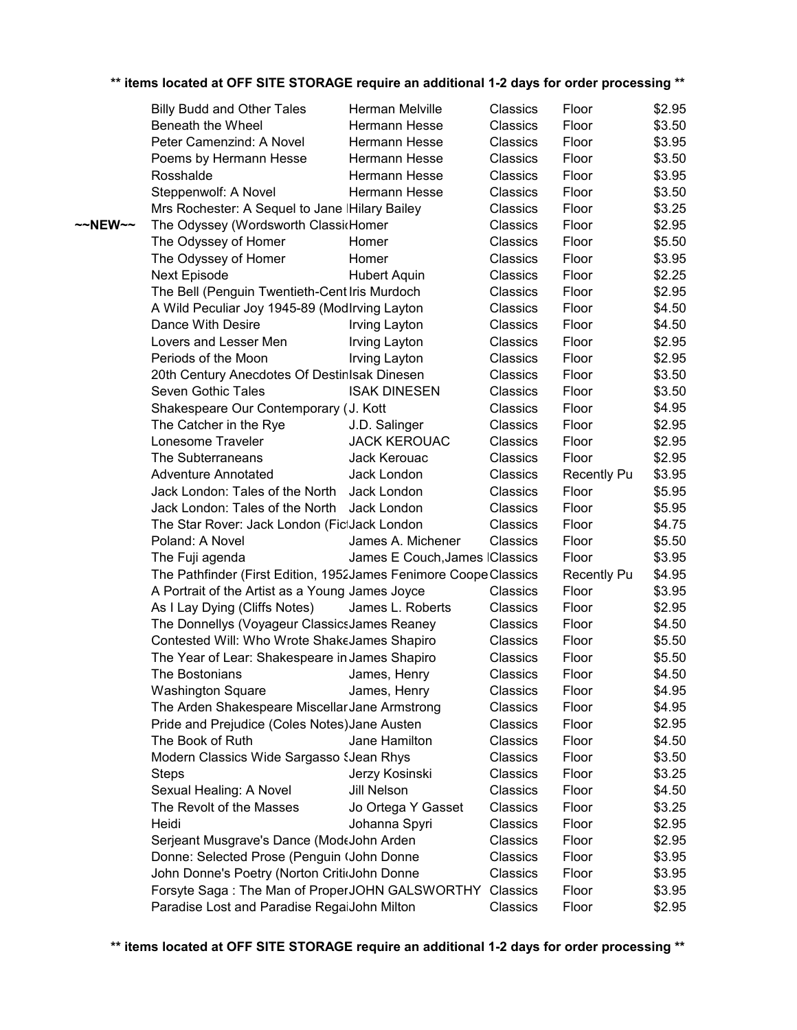|                   | <b>Billy Budd and Other Tales</b>                                | Herman Melville                 | Classics        | Floor              | \$2.95 |
|-------------------|------------------------------------------------------------------|---------------------------------|-----------------|--------------------|--------|
|                   | Beneath the Wheel                                                | Hermann Hesse                   | Classics        | Floor              | \$3.50 |
|                   | Peter Camenzind: A Novel                                         | Hermann Hesse                   | Classics        | Floor              | \$3.95 |
|                   | Poems by Hermann Hesse                                           | Hermann Hesse                   | Classics        | Floor              | \$3.50 |
|                   | Rosshalde                                                        | Hermann Hesse                   | Classics        | Floor              | \$3.95 |
|                   | Steppenwolf: A Novel                                             | Hermann Hesse                   | Classics        | Floor              | \$3.50 |
|                   | Mrs Rochester: A Sequel to Jane IHilary Bailey                   |                                 | Classics        | Floor              | \$3.25 |
| $\sim$ NEW $\sim$ | The Odyssey (Wordsworth ClassicHomer                             |                                 | Classics        | Floor              | \$2.95 |
|                   | The Odyssey of Homer                                             | Homer                           | Classics        | Floor              | \$5.50 |
|                   | The Odyssey of Homer                                             | Homer                           | Classics        | Floor              | \$3.95 |
|                   | Next Episode                                                     | <b>Hubert Aquin</b>             | Classics        | Floor              | \$2.25 |
|                   | The Bell (Penguin Twentieth-CentIris Murdoch                     |                                 | Classics        | Floor              | \$2.95 |
|                   | A Wild Peculiar Joy 1945-89 (ModIrving Layton                    |                                 | Classics        | Floor              | \$4.50 |
|                   | Dance With Desire                                                | Irving Layton                   | Classics        | Floor              | \$4.50 |
|                   | Lovers and Lesser Men                                            | Irving Layton                   | Classics        | Floor              | \$2.95 |
|                   | Periods of the Moon                                              | Irving Layton                   | Classics        | Floor              | \$2.95 |
|                   | 20th Century Anecdotes Of DestinIsak Dinesen                     |                                 | <b>Classics</b> | Floor              | \$3.50 |
|                   | Seven Gothic Tales                                               | <b>ISAK DINESEN</b>             | Classics        | Floor              | \$3.50 |
|                   | Shakespeare Our Contemporary (J. Kott                            |                                 | Classics        | Floor              | \$4.95 |
|                   | The Catcher in the Rye                                           | J.D. Salinger                   | Classics        | Floor              | \$2.95 |
|                   | Lonesome Traveler                                                | <b>JACK KEROUAC</b>             | Classics        | Floor              | \$2.95 |
|                   | The Subterraneans                                                | Jack Kerouac                    | Classics        | Floor              | \$2.95 |
|                   | <b>Adventure Annotated</b>                                       | Jack London                     | Classics        | <b>Recently Pu</b> | \$3.95 |
|                   | Jack London: Tales of the North                                  | Jack London                     | Classics        | Floor              | \$5.95 |
|                   | Jack London: Tales of the North                                  | Jack London                     | Classics        | Floor              | \$5.95 |
|                   | The Star Rover: Jack London (FictJack London                     |                                 | Classics        | Floor              | \$4.75 |
|                   | Poland: A Novel                                                  | James A. Michener               | Classics        | Floor              | \$5.50 |
|                   | The Fuji agenda                                                  | James E Couch, James   Classics |                 | Floor              | \$3.95 |
|                   | The Pathfinder (First Edition, 1952James Fenimore Coope Classics |                                 |                 | Recently Pu        | \$4.95 |
|                   | A Portrait of the Artist as a Young James Joyce                  |                                 | Classics        | Floor              | \$3.95 |
|                   | As I Lay Dying (Cliffs Notes)                                    | James L. Roberts                | Classics        | Floor              | \$2.95 |
|                   | The Donnellys (Voyageur ClassicsJames Reaney                     |                                 | Classics        | Floor              | \$4.50 |
|                   | Contested Will: Who Wrote ShakeJames Shapiro                     |                                 | Classics        | Floor              | \$5.50 |
|                   | The Year of Lear: Shakespeare in James Shapiro                   |                                 | Classics        | Floor              | \$5.50 |
|                   | The Bostonians                                                   | James, Henry                    | Classics        | Floor              | \$4.50 |
|                   | <b>Washington Square</b>                                         | James, Henry                    | Classics        | Floor              | \$4.95 |
|                   | The Arden Shakespeare Miscellar Jane Armstrong                   |                                 | Classics        | Floor              | \$4.95 |
|                   | Pride and Prejudice (Coles Notes) Jane Austen                    |                                 | Classics        | Floor              | \$2.95 |
|                   | The Book of Ruth                                                 | Jane Hamilton                   | Classics        | Floor              | \$4.50 |
|                   | Modern Classics Wide Sargasso SJean Rhys                         |                                 | Classics        | Floor              | \$3.50 |
|                   | <b>Steps</b>                                                     | Jerzy Kosinski                  | Classics        | Floor              | \$3.25 |
|                   | Sexual Healing: A Novel                                          | Jill Nelson                     | Classics        | Floor              | \$4.50 |
|                   | The Revolt of the Masses                                         | Jo Ortega Y Gasset              | Classics        | Floor              | \$3.25 |
|                   | Heidi                                                            | Johanna Spyri                   | Classics        | Floor              | \$2.95 |
|                   | Serjeant Musgrave's Dance (ModeJohn Arden                        |                                 | Classics        | Floor              | \$2.95 |
|                   | Donne: Selected Prose (Penguin (John Donne                       |                                 | Classics        | Floor              | \$3.95 |
|                   | John Donne's Poetry (Norton Critidohn Donne                      |                                 | Classics        | Floor              | \$3.95 |
|                   | Forsyte Saga: The Man of ProperJOHN GALSWORTHY                   |                                 | Classics        | Floor              | \$3.95 |
|                   | Paradise Lost and Paradise RegaiJohn Milton                      |                                 | Classics        | Floor              | \$2.95 |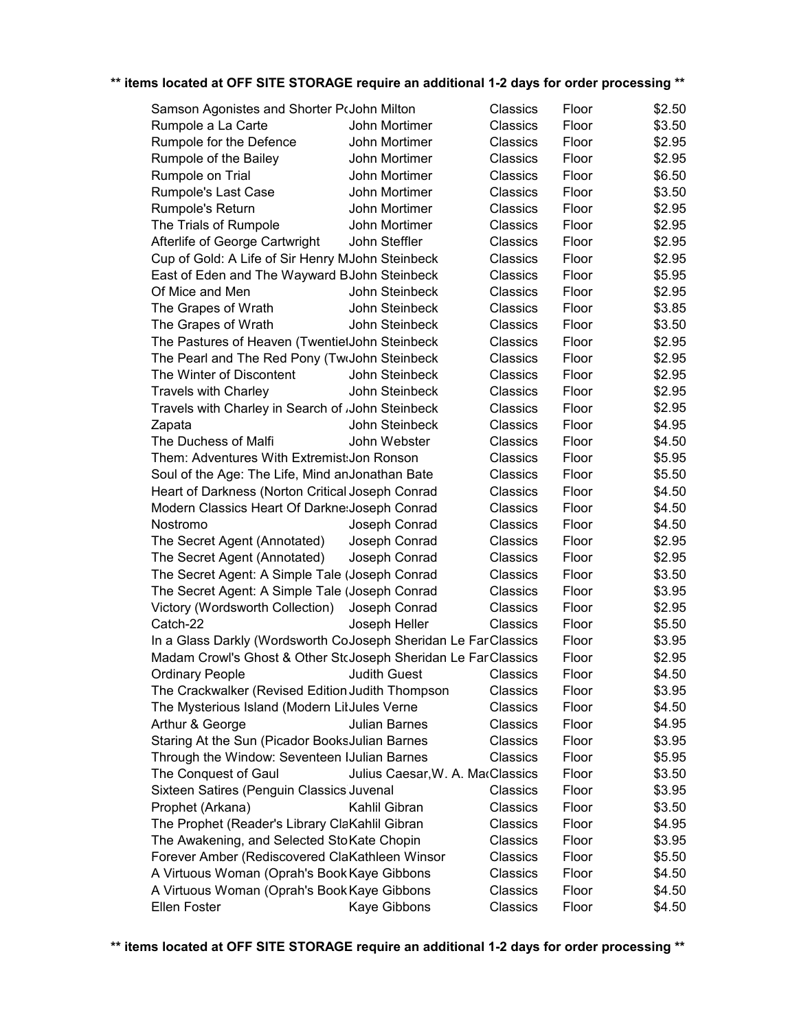| Samson Agonistes and Shorter PrJohn Milton                     |                                  | Classics | Floor | \$2.50 |
|----------------------------------------------------------------|----------------------------------|----------|-------|--------|
| Rumpole a La Carte                                             | John Mortimer                    | Classics | Floor | \$3.50 |
| Rumpole for the Defence                                        | John Mortimer                    | Classics | Floor | \$2.95 |
| Rumpole of the Bailey                                          | John Mortimer                    | Classics | Floor | \$2.95 |
| Rumpole on Trial                                               | John Mortimer                    | Classics | Floor | \$6.50 |
| Rumpole's Last Case                                            | John Mortimer                    | Classics | Floor | \$3.50 |
| Rumpole's Return                                               | John Mortimer                    | Classics | Floor | \$2.95 |
| The Trials of Rumpole                                          | John Mortimer                    | Classics | Floor | \$2.95 |
| Afterlife of George Cartwright                                 | John Steffler                    | Classics | Floor | \$2.95 |
| Cup of Gold: A Life of Sir Henry MJohn Steinbeck               |                                  | Classics | Floor | \$2.95 |
| East of Eden and The Wayward BJohn Steinbeck                   |                                  | Classics | Floor | \$5.95 |
| Of Mice and Men                                                | John Steinbeck                   | Classics | Floor | \$2.95 |
| The Grapes of Wrath                                            | John Steinbeck                   | Classics | Floor | \$3.85 |
| The Grapes of Wrath                                            | John Steinbeck                   | Classics | Floor | \$3.50 |
| The Pastures of Heaven (TwentietJohn Steinbeck                 |                                  | Classics | Floor | \$2.95 |
| The Pearl and The Red Pony (TwoJohn Steinbeck                  |                                  | Classics | Floor | \$2.95 |
| The Winter of Discontent                                       | John Steinbeck                   | Classics | Floor | \$2.95 |
| <b>Travels with Charley</b>                                    | John Steinbeck                   | Classics | Floor | \$2.95 |
| Travels with Charley in Search of John Steinbeck               |                                  | Classics | Floor | \$2.95 |
| Zapata                                                         | John Steinbeck                   | Classics | Floor | \$4.95 |
| The Duchess of Malfi                                           | John Webster                     | Classics | Floor | \$4.50 |
| Them: Adventures With Extremist; Jon Ronson                    |                                  | Classics | Floor | \$5.95 |
| Soul of the Age: The Life, Mind anJonathan Bate                |                                  | Classics | Floor | \$5.50 |
| Heart of Darkness (Norton Critical Joseph Conrad               |                                  | Classics | Floor | \$4.50 |
| Modern Classics Heart Of Darkne: Joseph Conrad                 |                                  | Classics | Floor | \$4.50 |
| Nostromo                                                       | Joseph Conrad                    | Classics | Floor | \$4.50 |
| The Secret Agent (Annotated)                                   | Joseph Conrad                    | Classics | Floor | \$2.95 |
| The Secret Agent (Annotated)                                   | Joseph Conrad                    | Classics | Floor | \$2.95 |
| The Secret Agent: A Simple Tale (Joseph Conrad                 |                                  | Classics | Floor | \$3.50 |
| The Secret Agent: A Simple Tale (Joseph Conrad                 |                                  | Classics | Floor | \$3.95 |
| Victory (Wordsworth Collection)                                | Joseph Conrad                    | Classics | Floor | \$2.95 |
| Catch-22                                                       | Joseph Heller                    | Classics | Floor | \$5.50 |
| In a Glass Darkly (Wordsworth CoJoseph Sheridan Le FarClassics |                                  |          | Floor | \$3.95 |
| Madam Crowl's Ghost & Other StcJoseph Sheridan Le FarClassics  |                                  |          | Floor | \$2.95 |
| <b>Ordinary People</b>                                         | <b>Judith Guest</b>              | Classics | Floor | \$4.50 |
| The Crackwalker (Revised Edition Judith Thompson               |                                  | Classics | Floor | \$3.95 |
| The Mysterious Island (Modern LitJules Verne                   |                                  | Classics | Floor | \$4.50 |
| Arthur & George                                                | Julian Barnes                    | Classics | Floor | \$4.95 |
| Staring At the Sun (Picador BooksJulian Barnes                 |                                  | Classics | Floor | \$3.95 |
| Through the Window: Seventeen IJulian Barnes                   |                                  | Classics | Floor | \$5.95 |
| The Conquest of Gaul                                           | Julius Caesar, W. A. MacClassics |          | Floor | \$3.50 |
| Sixteen Satires (Penguin Classics Juvenal                      |                                  | Classics | Floor | \$3.95 |
| Prophet (Arkana)                                               | Kahlil Gibran                    | Classics | Floor | \$3.50 |
| The Prophet (Reader's Library ClaKahlil Gibran                 |                                  | Classics | Floor | \$4.95 |
| The Awakening, and Selected Sto Kate Chopin                    |                                  | Classics | Floor | \$3.95 |
| Forever Amber (Rediscovered ClaKathleen Winsor                 |                                  | Classics | Floor | \$5.50 |
| A Virtuous Woman (Oprah's Book Kaye Gibbons                    |                                  | Classics | Floor | \$4.50 |
| A Virtuous Woman (Oprah's Book Kaye Gibbons                    |                                  | Classics | Floor | \$4.50 |
| Ellen Foster                                                   | Kaye Gibbons                     | Classics | Floor | \$4.50 |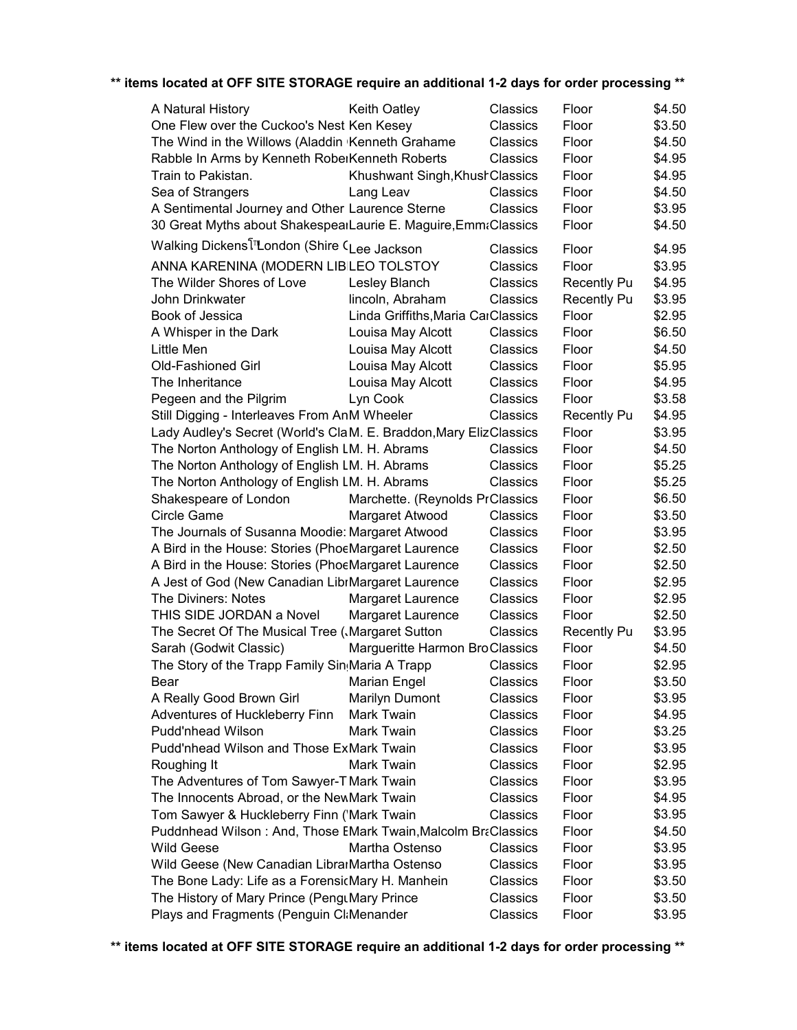| A Natural History                                                     | <b>Keith Oatley</b>                | Classics | Floor              | \$4.50           |
|-----------------------------------------------------------------------|------------------------------------|----------|--------------------|------------------|
| One Flew over the Cuckoo's Nest Ken Kesey                             |                                    | Classics | Floor              | \$3.50           |
| The Wind in the Willows (Aladdin Kenneth Grahame                      |                                    | Classics | Floor              | \$4.50           |
| Rabble In Arms by Kenneth RoberKenneth Roberts                        |                                    | Classics | Floor              | \$4.95           |
| Train to Pakistan.                                                    | Khushwant Singh, Khush Classics    |          | Floor              | \$4.95           |
| Sea of Strangers                                                      | Lang Leav                          | Classics | Floor              | \$4.50           |
| A Sentimental Journey and Other Laurence Sterne                       |                                    | Classics | Floor              | \$3.95           |
| 30 Great Myths about ShakespearLaurie E. Maguire, EmmaClassics        |                                    |          | Floor              | \$4.50           |
| Walking Dickens <sup>[11</sup> London (Shire C <sub>Lee Jackson</sub> |                                    | Classics | Floor              | \$4.95           |
| ANNA KARENINA (MODERN LIBILEO TOLSTOY                                 |                                    | Classics | Floor              | \$3.95           |
| The Wilder Shores of Love                                             | Lesley Blanch                      | Classics | <b>Recently Pu</b> | \$4.95           |
| John Drinkwater                                                       | lincoln, Abraham                   | Classics | <b>Recently Pu</b> | \$3.95           |
| Book of Jessica                                                       | Linda Griffiths, Maria CarClassics |          | Floor              | \$2.95           |
| A Whisper in the Dark                                                 | Louisa May Alcott                  | Classics | Floor              | \$6.50           |
| Little Men                                                            | Louisa May Alcott                  | Classics | Floor              | \$4.50           |
| <b>Old-Fashioned Girl</b>                                             | Louisa May Alcott                  | Classics | Floor              | \$5.95           |
| The Inheritance                                                       |                                    |          |                    |                  |
|                                                                       | Louisa May Alcott                  | Classics | Floor              | \$4.95<br>\$3.58 |
| Pegeen and the Pilgrim                                                | Lyn Cook                           | Classics | Floor              |                  |
| Still Digging - Interleaves From AnM Wheeler                          |                                    | Classics | <b>Recently Pu</b> | \$4.95           |
| Lady Audley's Secret (World's ClaM. E. Braddon, Mary ElizClassics     |                                    |          | Floor              | \$3.95           |
| The Norton Anthology of English LM. H. Abrams                         |                                    | Classics | Floor              | \$4.50           |
| The Norton Anthology of English LM. H. Abrams                         |                                    | Classics | Floor              | \$5.25           |
| The Norton Anthology of English LM. H. Abrams                         |                                    | Classics | Floor              | \$5.25           |
| Shakespeare of London                                                 | Marchette. (Reynolds PrClassics    |          | Floor              | \$6.50           |
| Circle Game                                                           | Margaret Atwood                    | Classics | Floor              | \$3.50           |
| The Journals of Susanna Moodie: Margaret Atwood                       |                                    | Classics | Floor              | \$3.95           |
| A Bird in the House: Stories (PhoeMargaret Laurence                   |                                    | Classics | Floor              | \$2.50           |
| A Bird in the House: Stories (PhoeMargaret Laurence                   |                                    | Classics | Floor              | \$2.50           |
| A Jest of God (New Canadian LibrMargaret Laurence                     |                                    | Classics | Floor              | \$2.95           |
| The Diviners: Notes                                                   | Margaret Laurence                  | Classics | Floor              | \$2.95           |
| THIS SIDE JORDAN a Novel                                              | Margaret Laurence                  | Classics | Floor              | \$2.50           |
| The Secret Of The Musical Tree (Margaret Sutton                       |                                    | Classics | <b>Recently Pu</b> | \$3.95           |
| Sarah (Godwit Classic)                                                | Margueritte Harmon BroClassics     |          | Floor              | \$4.50           |
| The Story of the Trapp Family Sin Maria A Trapp                       |                                    | Classics | Floor              | \$2.95           |
| Bear                                                                  | Marian Engel                       | Classics | Floor              | \$3.50           |
| A Really Good Brown Girl                                              | <b>Marilyn Dumont</b>              | Classics | Floor              | \$3.95           |
| Adventures of Huckleberry Finn                                        | Mark Twain                         | Classics | Floor              | \$4.95           |
| <b>Pudd'nhead Wilson</b>                                              | <b>Mark Twain</b>                  | Classics | Floor              | \$3.25           |
| Pudd'nhead Wilson and Those ExMark Twain                              |                                    | Classics | Floor              | \$3.95           |
| Roughing It                                                           | Mark Twain                         | Classics | Floor              | \$2.95           |
| The Adventures of Tom Sawyer-TIMark Twain                             |                                    | Classics | Floor              | \$3.95           |
| The Innocents Abroad, or the NewMark Twain                            |                                    | Classics | Floor              | \$4.95           |
| Tom Sawyer & Huckleberry Finn ('Mark Twain                            |                                    | Classics | Floor              | \$3.95           |
| Puddnhead Wilson: And, Those EMark Twain, Malcolm BraClassics         |                                    |          | Floor              | \$4.50           |
| <b>Wild Geese</b>                                                     | Martha Ostenso                     | Classics | Floor              | \$3.95           |
|                                                                       |                                    |          |                    |                  |
| Wild Geese (New Canadian LibrarMartha Ostenso                         |                                    | Classics | Floor              | \$3.95           |
| The Bone Lady: Life as a ForensicMary H. Manhein                      |                                    | Classics | Floor              | \$3.50           |
| The History of Mary Prince (PengtMary Prince                          |                                    | Classics | Floor              | \$3.50           |
| Plays and Fragments (Penguin Cl:Menander                              |                                    | Classics | Floor              | \$3.95           |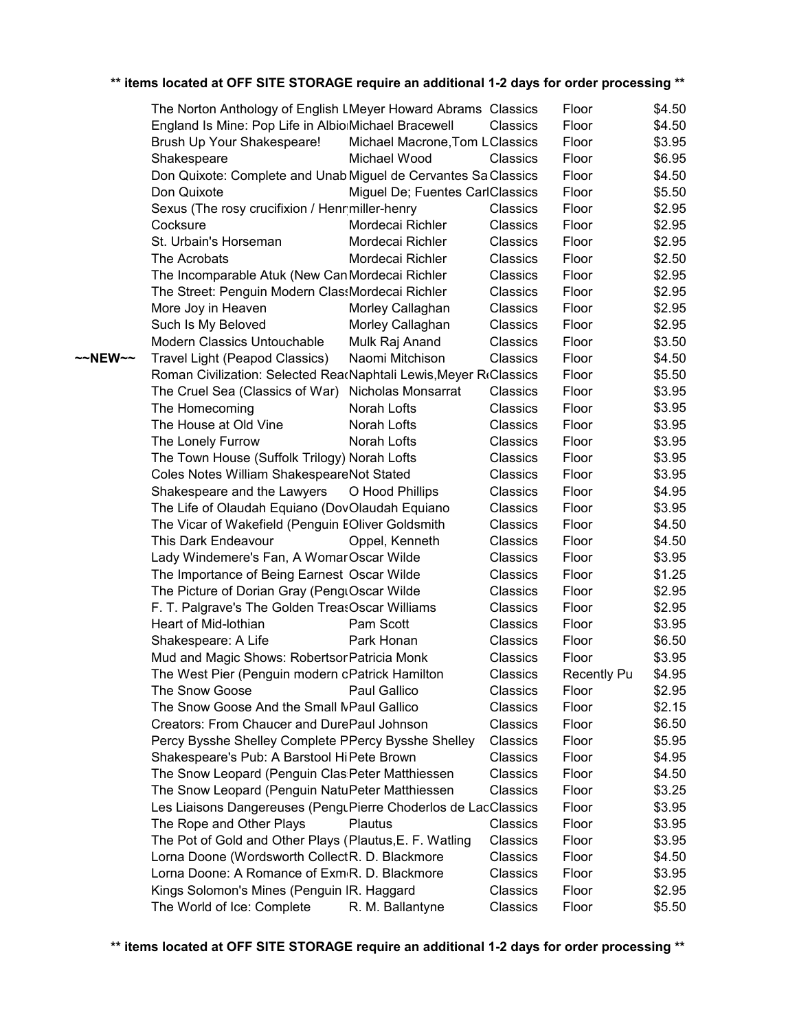|         | The Norton Anthology of English LMeyer Howard Abrams Classics     |                                 |          | Floor              | \$4.50 |
|---------|-------------------------------------------------------------------|---------------------------------|----------|--------------------|--------|
|         | England Is Mine: Pop Life in AlbionMichael Bracewell              |                                 | Classics | Floor              | \$4.50 |
|         | Brush Up Your Shakespeare!                                        | Michael Macrone, Tom LClassics  |          | Floor              | \$3.95 |
|         | Shakespeare                                                       | Michael Wood                    | Classics | Floor              | \$6.95 |
|         | Don Quixote: Complete and Unab Miguel de Cervantes Sa Classics    |                                 |          | Floor              | \$4.50 |
|         | Don Quixote                                                       | Miguel De; Fuentes CarlClassics |          | Floor              | \$5.50 |
|         | Sexus (The rosy crucifixion / Henrmiller-henry                    |                                 | Classics | Floor              | \$2.95 |
|         | Cocksure                                                          | Mordecai Richler                | Classics | Floor              | \$2.95 |
|         | St. Urbain's Horseman                                             | Mordecai Richler                | Classics | Floor              | \$2.95 |
|         | The Acrobats                                                      | Mordecai Richler                | Classics | Floor              | \$2.50 |
|         | The Incomparable Atuk (New Can Mordecai Richler                   |                                 | Classics | Floor              | \$2.95 |
|         | The Street: Penguin Modern ClassMordecai Richler                  |                                 | Classics | Floor              | \$2.95 |
|         | More Joy in Heaven                                                | Morley Callaghan                | Classics | Floor              | \$2.95 |
|         | Such Is My Beloved                                                | Morley Callaghan                | Classics | Floor              | \$2.95 |
|         | Modern Classics Untouchable                                       | Mulk Raj Anand                  | Classics | Floor              | \$3.50 |
| ~~NEW~~ | Travel Light (Peapod Classics)                                    | Naomi Mitchison                 | Classics | Floor              | \$4.50 |
|         | Roman Civilization: Selected ReacNaphtali Lewis, Meyer RcClassics |                                 |          | Floor              | \$5.50 |
|         | The Cruel Sea (Classics of War) Nicholas Monsarrat                |                                 | Classics | Floor              | \$3.95 |
|         | The Homecoming                                                    | Norah Lofts                     | Classics | Floor              | \$3.95 |
|         | The House at Old Vine                                             | Norah Lofts                     | Classics | Floor              | \$3.95 |
|         | The Lonely Furrow                                                 | Norah Lofts                     | Classics | Floor              | \$3.95 |
|         | The Town House (Suffolk Trilogy) Norah Lofts                      |                                 | Classics | Floor              | \$3.95 |
|         | Coles Notes William ShakespeareNot Stated                         |                                 | Classics | Floor              | \$3.95 |
|         | Shakespeare and the Lawyers                                       | O Hood Phillips                 | Classics | Floor              | \$4.95 |
|         | The Life of Olaudah Equiano (DovOlaudah Equiano                   |                                 | Classics | Floor              | \$3.95 |
|         | The Vicar of Wakefield (Penguin EOliver Goldsmith                 |                                 | Classics | Floor              | \$4.50 |
|         | This Dark Endeavour                                               | Oppel, Kenneth                  | Classics | Floor              | \$4.50 |
|         | Lady Windemere's Fan, A WomarOscar Wilde                          |                                 | Classics | Floor              | \$3.95 |
|         | The Importance of Being Earnest Oscar Wilde                       |                                 | Classics | Floor              | \$1.25 |
|         | The Picture of Dorian Gray (PengtOscar Wilde                      |                                 | Classics | Floor              | \$2.95 |
|         | F. T. Palgrave's The Golden TreasOscar Williams                   |                                 | Classics | Floor              | \$2.95 |
|         | Heart of Mid-Iothian                                              | Pam Scott                       | Classics | Floor              | \$3.95 |
|         | Shakespeare: A Life                                               | Park Honan                      | Classics | Floor              | \$6.50 |
|         | Mud and Magic Shows: Robertsor Patricia Monk                      |                                 | Classics | Floor              | \$3.95 |
|         | The West Pier (Penguin modern cPatrick Hamilton                   |                                 | Classics | <b>Recently Pu</b> | \$4.95 |
|         | The Snow Goose                                                    | Paul Gallico                    | Classics | Floor              | \$2.95 |
|         | The Snow Goose And the Small MPaul Gallico                        |                                 | Classics | Floor              | \$2.15 |
|         | Creators: From Chaucer and DurePaul Johnson                       |                                 | Classics | Floor              | \$6.50 |
|         | Percy Bysshe Shelley Complete PPercy Bysshe Shelley               |                                 | Classics | Floor              | \$5.95 |
|         | Shakespeare's Pub: A Barstool Hi Pete Brown                       |                                 | Classics | Floor              | \$4.95 |
|         | The Snow Leopard (Penguin Clas Peter Matthiessen                  |                                 | Classics | Floor              | \$4.50 |
|         | The Snow Leopard (Penguin NatuPeter Matthiessen                   |                                 | Classics | Floor              | \$3.25 |
|         | Les Liaisons Dangereuses (PenguPierre Choderlos de LacClassics    |                                 |          | Floor              | \$3.95 |
|         | The Rope and Other Plays                                          | <b>Plautus</b>                  | Classics | Floor              | \$3.95 |
|         | The Pot of Gold and Other Plays (Plautus, E. F. Watling           |                                 | Classics | Floor              | \$3.95 |
|         | Lorna Doone (Wordsworth CollectR. D. Blackmore                    |                                 | Classics | Floor              | \$4.50 |
|         | Lorna Doone: A Romance of Exm <sub>I</sub> R. D. Blackmore        |                                 | Classics | Floor              | \$3.95 |
|         | Kings Solomon's Mines (Penguin IR. Haggard                        |                                 | Classics | Floor              | \$2.95 |
|         | The World of Ice: Complete                                        | R. M. Ballantyne                | Classics | Floor              | \$5.50 |
|         |                                                                   |                                 |          |                    |        |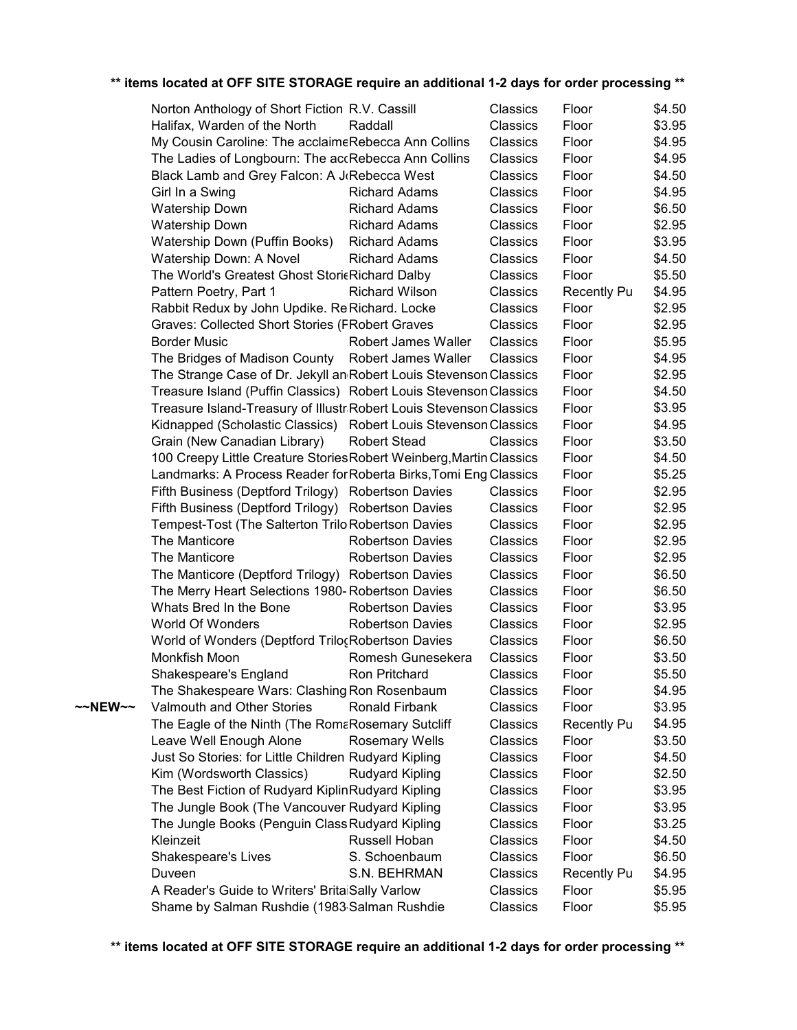|         | Norton Anthology of Short Fiction R.V. Cassill                      |                         | Classics | Floor              | \$4.50 |
|---------|---------------------------------------------------------------------|-------------------------|----------|--------------------|--------|
|         | Halifax, Warden of the North                                        | Raddall                 | Classics | Floor              | \$3.95 |
|         | My Cousin Caroline: The acclaimeRebecca Ann Collins                 |                         | Classics | Floor              | \$4.95 |
|         | The Ladies of Longbourn: The accRebecca Ann Collins                 |                         | Classics | Floor              | \$4.95 |
|         | Black Lamb and Grey Falcon: A J Rebecca West                        |                         | Classics | Floor              | \$4.50 |
|         | Girl In a Swing                                                     | <b>Richard Adams</b>    | Classics | Floor              | \$4.95 |
|         | <b>Watership Down</b>                                               | <b>Richard Adams</b>    | Classics | Floor              | \$6.50 |
|         | <b>Watership Down</b>                                               | <b>Richard Adams</b>    | Classics | Floor              | \$2.95 |
|         | Watership Down (Puffin Books)                                       | <b>Richard Adams</b>    | Classics | Floor              | \$3.95 |
|         | Watership Down: A Novel                                             | <b>Richard Adams</b>    | Classics | Floor              | \$4.50 |
|         | The World's Greatest Ghost StoricRichard Dalby                      |                         | Classics | Floor              | \$5.50 |
|         | Pattern Poetry, Part 1                                              | <b>Richard Wilson</b>   | Classics | <b>Recently Pu</b> | \$4.95 |
|         | Rabbit Redux by John Updike. Re Richard. Locke                      |                         | Classics | Floor              | \$2.95 |
|         | Graves: Collected Short Stories (FRobert Graves                     |                         | Classics | Floor              | \$2.95 |
|         | <b>Border Music</b>                                                 | Robert James Waller     | Classics | Floor              | \$5.95 |
|         | The Bridges of Madison County                                       | Robert James Waller     | Classics | Floor              | \$4.95 |
|         | The Strange Case of Dr. Jekyll an Robert Louis Stevenson Classics   |                         |          | Floor              | \$2.95 |
|         | Treasure Island (Puffin Classics) Robert Louis Stevenson Classics   |                         |          | Floor              | \$4.50 |
|         | Treasure Island-Treasury of Illustr Robert Louis Stevenson Classics |                         |          | Floor              | \$3.95 |
|         | Kidnapped (Scholastic Classics) Robert Louis Stevenson Classics     |                         |          | Floor              | \$4.95 |
|         | Grain (New Canadian Library)                                        | <b>Robert Stead</b>     | Classics | Floor              | \$3.50 |
|         | 100 Creepy Little Creature Stories Robert Weinberg, Martin Classics |                         |          | Floor              | \$4.50 |
|         | Landmarks: A Process Reader for Roberta Birks, Tomi Eng Classics    |                         |          | Floor              | \$5.25 |
|         | Fifth Business (Deptford Trilogy) Robertson Davies                  |                         | Classics | Floor              | \$2.95 |
|         | Fifth Business (Deptford Trilogy) Robertson Davies                  |                         | Classics | Floor              | \$2.95 |
|         | Tempest-Tost (The Salterton Trilo Robertson Davies                  |                         | Classics | Floor              | \$2.95 |
|         | The Manticore                                                       | <b>Robertson Davies</b> | Classics | Floor              | \$2.95 |
|         | The Manticore                                                       | <b>Robertson Davies</b> | Classics | Floor              | \$2.95 |
|         | The Manticore (Deptford Trilogy) Robertson Davies                   |                         | Classics | Floor              | \$6.50 |
|         | The Merry Heart Selections 1980- Robertson Davies                   |                         | Classics | Floor              | \$6.50 |
|         | Whats Bred In the Bone                                              | <b>Robertson Davies</b> | Classics | Floor              | \$3.95 |
|         | World Of Wonders                                                    | <b>Robertson Davies</b> | Classics | Floor              | \$2.95 |
|         | World of Wonders (Deptford Trilo <sub>c</sub> Robertson Davies      |                         | Classics | Floor              | \$6.50 |
|         | Monkfish Moon                                                       | Romesh Gunesekera       | Classics | Floor              | \$3.50 |
|         | Shakespeare's England                                               | Ron Pritchard           | Classics | Floor              | \$5.50 |
|         | The Shakespeare Wars: Clashing Ron Rosenbaum                        |                         | Classics | Floor              | \$4.95 |
| ~~NEW~~ | Valmouth and Other Stories                                          | Ronald Firbank          | Classics | Floor              | \$3.95 |
|         | The Eagle of the Ninth (The RomaRosemary Sutcliff                   |                         | Classics | <b>Recently Pu</b> | \$4.95 |
|         | Leave Well Enough Alone                                             | <b>Rosemary Wells</b>   | Classics | Floor              | \$3.50 |
|         | Just So Stories: for Little Children Rudyard Kipling                |                         | Classics | Floor              | \$4.50 |
|         | Kim (Wordsworth Classics)                                           | <b>Rudyard Kipling</b>  | Classics | Floor              | \$2.50 |
|         | The Best Fiction of Rudyard Kiplin Rudyard Kipling                  |                         | Classics | Floor              | \$3.95 |
|         | The Jungle Book (The Vancouver Rudyard Kipling                      |                         | Classics | Floor              | \$3.95 |
|         | The Jungle Books (Penguin Class Rudyard Kipling                     |                         | Classics | Floor              | \$3.25 |
|         | Kleinzeit                                                           | Russell Hoban           | Classics | Floor              | \$4.50 |
|         | Shakespeare's Lives                                                 | S. Schoenbaum           | Classics | Floor              | \$6.50 |
|         | Duveen                                                              | S.N. BEHRMAN            | Classics | Recently Pu        | \$4.95 |
|         | A Reader's Guide to Writers' BritaiSally Varlow                     |                         | Classics | Floor              | \$5.95 |
|         | Shame by Salman Rushdie (1983 Salman Rushdie                        |                         | Classics | Floor              | \$5.95 |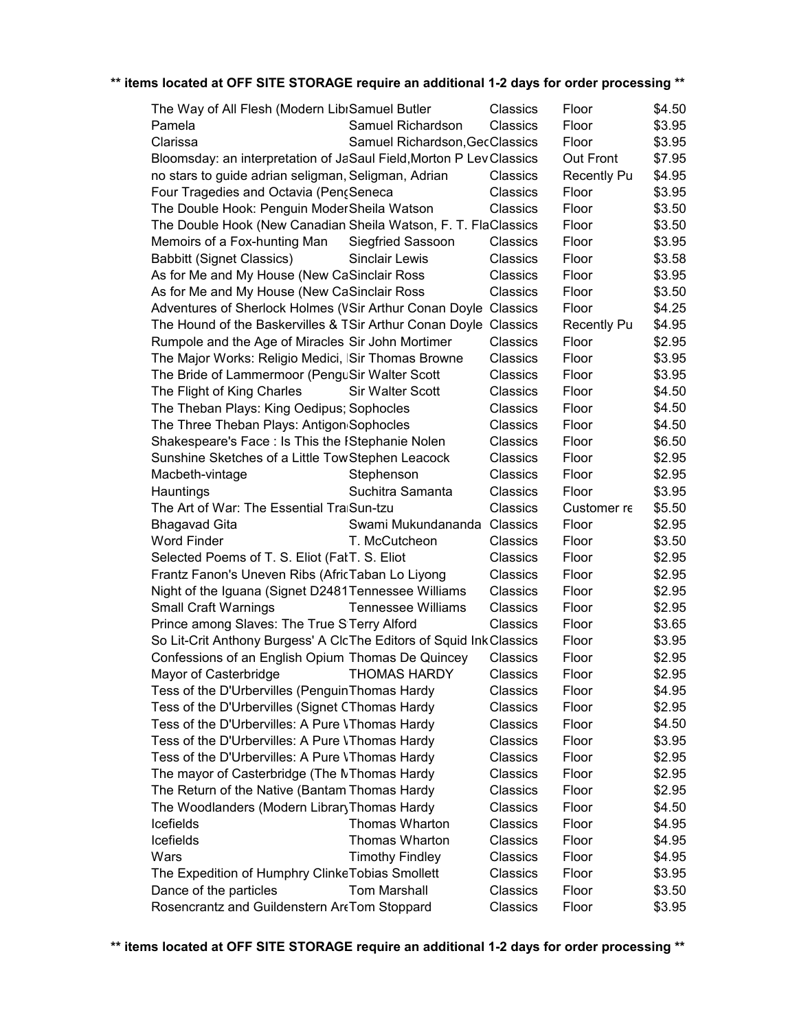| The Way of All Flesh (Modern LibrSamuel Butler                      |                                | Classics | Floor              | \$4.50 |
|---------------------------------------------------------------------|--------------------------------|----------|--------------------|--------|
| Pamela                                                              | Samuel Richardson              | Classics | Floor              | \$3.95 |
| Clarissa                                                            | Samuel Richardson, GecClassics |          | Floor              | \$3.95 |
| Bloomsday: an interpretation of JaSaul Field, Morton P Lev Classics |                                |          | Out Front          | \$7.95 |
| no stars to guide adrian seligman, Seligman, Adrian                 |                                | Classics | <b>Recently Pu</b> | \$4.95 |
| Four Tragedies and Octavia (Pen¿Seneca                              |                                | Classics | Floor              | \$3.95 |
| The Double Hook: Penguin ModerSheila Watson                         |                                | Classics | Floor              | \$3.50 |
| The Double Hook (New Canadian Sheila Watson, F. T. FlaClassics      |                                |          | Floor              | \$3.50 |
| Memoirs of a Fox-hunting Man                                        | <b>Siegfried Sassoon</b>       | Classics | Floor              | \$3.95 |
| <b>Babbitt (Signet Classics)</b>                                    | <b>Sinclair Lewis</b>          | Classics | Floor              | \$3.58 |
| As for Me and My House (New CaSinclair Ross                         |                                | Classics | Floor              | \$3.95 |
| As for Me and My House (New CaSinclair Ross                         |                                | Classics | Floor              | \$3.50 |
| Adventures of Sherlock Holmes (VSir Arthur Conan Doyle Classics     |                                |          | Floor              | \$4.25 |
| The Hound of the Baskervilles & TSir Arthur Conan Doyle Classics    |                                |          | <b>Recently Pu</b> | \$4.95 |
| Rumpole and the Age of Miracles Sir John Mortimer                   |                                | Classics | Floor              | \$2.95 |
| The Major Works: Religio Medici, ISir Thomas Browne                 |                                | Classics | Floor              | \$3.95 |
| The Bride of Lammermoor (PenguSir Walter Scott                      |                                | Classics | Floor              | \$3.95 |
| The Flight of King Charles                                          | <b>Sir Walter Scott</b>        | Classics | Floor              | \$4.50 |
| The Theban Plays: King Oedipus; Sophocles                           |                                | Classics | Floor              | \$4.50 |
| The Three Theban Plays: Antigon Sophocles                           |                                | Classics | Floor              | \$4.50 |
| Shakespeare's Face: Is This the IStephanie Nolen                    |                                | Classics | Floor              | \$6.50 |
| Sunshine Sketches of a Little TowStephen Leacock                    |                                | Classics | Floor              | \$2.95 |
|                                                                     | Stephenson                     |          |                    | \$2.95 |
| Macbeth-vintage                                                     |                                | Classics | Floor              |        |
| Hauntings                                                           | Suchitra Samanta               | Classics | Floor              | \$3.95 |
| The Art of War: The Essential TraiSun-tzu                           |                                | Classics | Customer re        | \$5.50 |
| <b>Bhagavad Gita</b>                                                | Swami Mukundananda             | Classics | Floor              | \$2.95 |
| <b>Word Finder</b>                                                  | T. McCutcheon                  | Classics | Floor              | \$3.50 |
| Selected Poems of T. S. Eliot (FalT. S. Eliot                       |                                | Classics | Floor              | \$2.95 |
| Frantz Fanon's Uneven Ribs (AfricTaban Lo Liyong                    |                                | Classics | Floor              | \$2.95 |
| Night of the Iguana (Signet D2481Tennessee Williams                 |                                | Classics | Floor              | \$2.95 |
| <b>Small Craft Warnings</b>                                         | <b>Tennessee Williams</b>      | Classics | Floor              | \$2.95 |
| Prince among Slaves: The True S Terry Alford                        |                                | Classics | Floor              | \$3.65 |
| So Lit-Crit Anthony Burgess' A ClcThe Editors of Squid Ink Classics |                                |          | Floor              | \$3.95 |
| Confessions of an English Opium Thomas De Quincey                   |                                | Classics | Floor              | \$2.95 |
| Mayor of Casterbridge                                               | <b>THOMAS HARDY</b>            | Classics | Floor              | \$2.95 |
| Tess of the D'Urbervilles (Penguin Thomas Hardy                     |                                | Classics | Floor              | \$4.95 |
| Tess of the D'Urbervilles (Signet CThomas Hardy                     |                                | Classics | Floor              | \$2.95 |
| Tess of the D'Urbervilles: A Pure VThomas Hardy                     |                                | Classics | Floor              | \$4.50 |
| Tess of the D'Urbervilles: A Pure VThomas Hardy                     |                                | Classics | Floor              | \$3.95 |
| Tess of the D'Urbervilles: A Pure VThomas Hardy                     |                                | Classics | Floor              | \$2.95 |
| The mayor of Casterbridge (The NThomas Hardy                        |                                | Classics | Floor              | \$2.95 |
| The Return of the Native (Bantam Thomas Hardy                       |                                | Classics | Floor              | \$2.95 |
| The Woodlanders (Modern Library Thomas Hardy                        |                                | Classics | Floor              | \$4.50 |
| Icefields                                                           | Thomas Wharton                 | Classics | Floor              | \$4.95 |
| Icefields                                                           | Thomas Wharton                 | Classics | Floor              | \$4.95 |
| Wars                                                                | <b>Timothy Findley</b>         | Classics | Floor              | \$4.95 |
| The Expedition of Humphry Clinke Tobias Smollett                    |                                | Classics | Floor              | \$3.95 |
| Dance of the particles                                              | <b>Tom Marshall</b>            | Classics | Floor              | \$3.50 |
| Rosencrantz and Guildenstern ArcTom Stoppard                        |                                | Classics | Floor              | \$3.95 |
|                                                                     |                                |          |                    |        |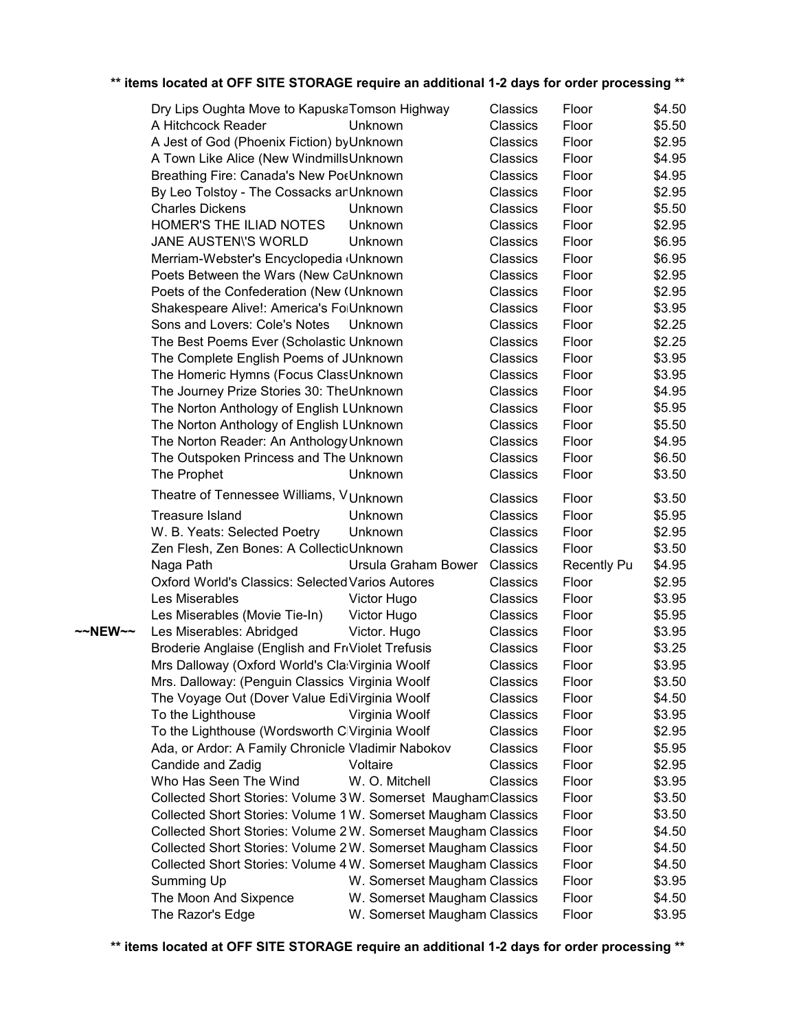|         | Dry Lips Oughta Move to KapuskaTomson Highway                  |                              | Classics        | Floor              | \$4.50 |
|---------|----------------------------------------------------------------|------------------------------|-----------------|--------------------|--------|
|         | A Hitchcock Reader                                             | Unknown                      | Classics        | Floor              | \$5.50 |
|         | A Jest of God (Phoenix Fiction) by Unknown                     |                              | Classics        | Floor              | \$2.95 |
|         | A Town Like Alice (New WindmillsUnknown                        |                              | Classics        | Floor              | \$4.95 |
|         | Breathing Fire: Canada's New PotUnknown                        |                              | <b>Classics</b> | Floor              | \$4.95 |
|         | By Leo Tolstoy - The Cossacks an Unknown                       |                              | Classics        | Floor              | \$2.95 |
|         | <b>Charles Dickens</b>                                         | Unknown                      | Classics        | Floor              | \$5.50 |
|         | HOMER'S THE ILIAD NOTES                                        | Unknown                      | Classics        | Floor              | \$2.95 |
|         | JANE AUSTEN'S WORLD                                            | Unknown                      | Classics        | Floor              | \$6.95 |
|         | Merriam-Webster's Encyclopedia (Unknown                        |                              | Classics        | Floor              | \$6.95 |
|         | Poets Between the Wars (New CaUnknown                          |                              | Classics        | Floor              | \$2.95 |
|         | Poets of the Confederation (New (Unknown)                      |                              | Classics        | Floor              | \$2.95 |
|         | Shakespeare Alive!: America's FolUnknown                       |                              | Classics        | Floor              | \$3.95 |
|         | Sons and Lovers: Cole's Notes                                  | Unknown                      | Classics        | Floor              | \$2.25 |
|         | The Best Poems Ever (Scholastic Unknown                        |                              | Classics        | Floor              | \$2.25 |
|         | The Complete English Poems of JUnknown                         |                              | Classics        | Floor              | \$3.95 |
|         | The Homeric Hymns (Focus ClassUnknown                          |                              | Classics        | Floor              | \$3.95 |
|         | The Journey Prize Stories 30: TheUnknown                       |                              | Classics        | Floor              | \$4.95 |
|         | The Norton Anthology of English LUnknown                       |                              | Classics        | Floor              | \$5.95 |
|         |                                                                |                              | Classics        | Floor              | \$5.50 |
|         | The Norton Anthology of English LUnknown                       |                              |                 |                    |        |
|         | The Norton Reader: An Anthology Unknown                        |                              | Classics        | Floor              | \$4.95 |
|         | The Outspoken Princess and The Unknown                         |                              | Classics        | Floor              | \$6.50 |
|         | The Prophet                                                    | Unknown                      | Classics        | Floor              | \$3.50 |
|         | Theatre of Tennessee Williams, VUnknown                        |                              | Classics        | Floor              | \$3.50 |
|         | <b>Treasure Island</b>                                         | Unknown                      | Classics        | Floor              | \$5.95 |
|         | W. B. Yeats: Selected Poetry                                   | Unknown                      | Classics        | Floor              | \$2.95 |
|         | Zen Flesh, Zen Bones: A CollectioUnknown                       |                              | Classics        | Floor              | \$3.50 |
|         | Naga Path                                                      | Ursula Graham Bower          | Classics        | <b>Recently Pu</b> | \$4.95 |
|         | <b>Oxford World's Classics: Selected Varios Autores</b>        |                              | Classics        | Floor              | \$2.95 |
|         | Les Miserables                                                 | Victor Hugo                  | Classics        | Floor              | \$3.95 |
|         | Les Miserables (Movie Tie-In)                                  | Victor Hugo                  | Classics        | Floor              | \$5.95 |
| ~~NEW~~ | Les Miserables: Abridged                                       | Victor. Hugo                 | Classics        | Floor              | \$3.95 |
|         | Broderie Anglaise (English and FriViolet Trefusis              |                              | Classics        | Floor              | \$3.25 |
|         | Mrs Dalloway (Oxford World's Cla: Virginia Woolf               |                              | <b>Classics</b> | Floor              | \$3.95 |
|         | Mrs. Dalloway: (Penguin Classics Virginia Woolf                |                              | Classics        | Floor              | \$3.50 |
|         | The Voyage Out (Dover Value EdiVirginia Woolf                  |                              | Classics        | Floor              | \$4.50 |
|         | To the Lighthouse                                              | Virginia Woolf               | Classics        | Floor              | \$3.95 |
|         | To the Lighthouse (Wordsworth ClVirginia Woolf                 |                              | Classics        | Floor              | \$2.95 |
|         | Ada, or Ardor: A Family Chronicle Vladimir Nabokov             |                              | Classics        | Floor              | \$5.95 |
|         | Candide and Zadig                                              | Voltaire                     | Classics        | Floor              | \$2.95 |
|         | Who Has Seen The Wind                                          | W. O. Mitchell               | Classics        | Floor              | \$3.95 |
|         | Collected Short Stories: Volume 3W. Somerset MaughamClassics   |                              |                 | Floor              | \$3.50 |
|         | Collected Short Stories: Volume 1 W. Somerset Maugham Classics |                              |                 | Floor              | \$3.50 |
|         | Collected Short Stories: Volume 2W. Somerset Maugham Classics  |                              |                 | Floor              | \$4.50 |
|         | Collected Short Stories: Volume 2W. Somerset Maugham Classics  |                              |                 | Floor              | \$4.50 |
|         | Collected Short Stories: Volume 4 W. Somerset Maugham Classics |                              |                 | Floor              | \$4.50 |
|         | Summing Up                                                     | W. Somerset Maugham Classics |                 | Floor              | \$3.95 |
|         | The Moon And Sixpence                                          | W. Somerset Maugham Classics |                 | Floor              | \$4.50 |
|         | The Razor's Edge                                               | W. Somerset Maugham Classics |                 | Floor              | \$3.95 |
|         |                                                                |                              |                 |                    |        |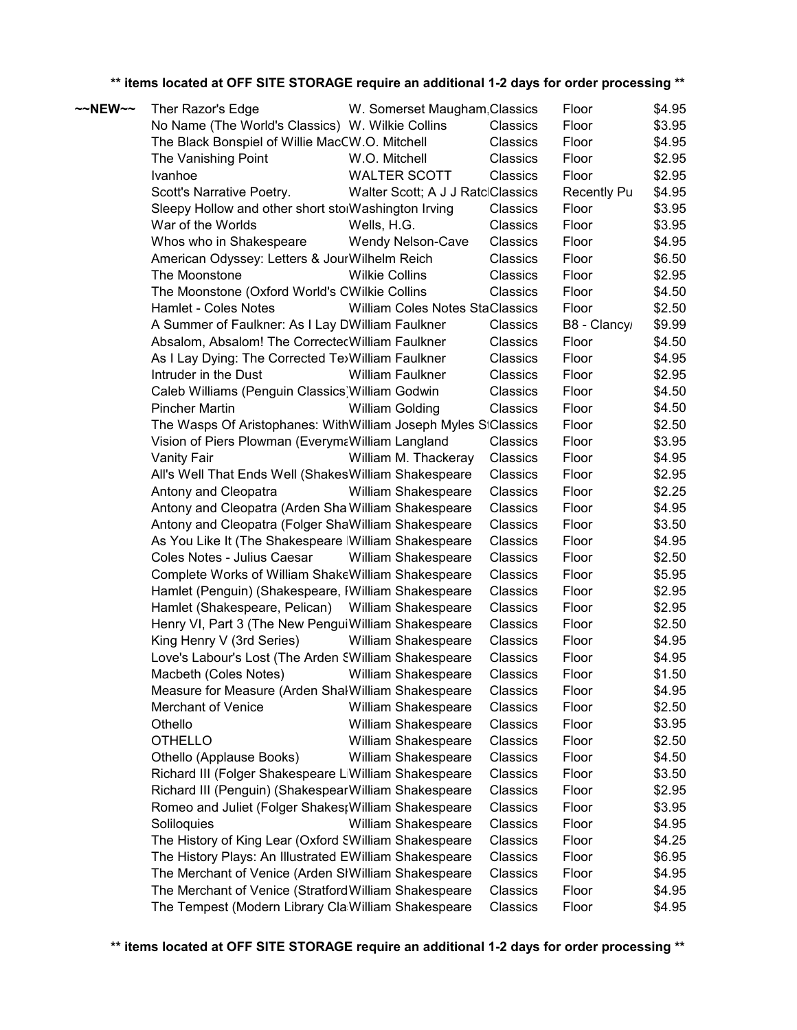| $\sim$ NEW $\sim$ | Ther Razor's Edge                                              | W. Somerset Maugham Classics           |          | Floor              | \$4.95 |
|-------------------|----------------------------------------------------------------|----------------------------------------|----------|--------------------|--------|
|                   | No Name (The World's Classics) W. Wilkie Collins               |                                        | Classics | Floor              | \$3.95 |
|                   | The Black Bonspiel of Willie MacCW.O. Mitchell                 |                                        | Classics | Floor              | \$4.95 |
|                   | The Vanishing Point                                            | W.O. Mitchell                          | Classics | Floor              | \$2.95 |
|                   | Ivanhoe                                                        | <b>WALTER SCOTT</b>                    | Classics | Floor              | \$2.95 |
|                   | Scott's Narrative Poetry.                                      | Walter Scott; A J J RatclClassics      |          | <b>Recently Pu</b> | \$4.95 |
|                   | Sleepy Hollow and other short stolWashington Irving            |                                        | Classics | Floor              | \$3.95 |
|                   | War of the Worlds                                              | Wells, H.G.                            | Classics | Floor              | \$3.95 |
|                   | Whos who in Shakespeare                                        | Wendy Nelson-Cave                      | Classics | Floor              | \$4.95 |
|                   | American Odyssey: Letters & JourWilhelm Reich                  |                                        | Classics | Floor              | \$6.50 |
|                   | The Moonstone                                                  | <b>Wilkie Collins</b>                  | Classics | Floor              | \$2.95 |
|                   | The Moonstone (Oxford World's CWilkie Collins                  |                                        | Classics | Floor              | \$4.50 |
|                   | Hamlet - Coles Notes                                           | <b>William Coles Notes StaClassics</b> |          | Floor              | \$2.50 |
|                   | A Summer of Faulkner: As I Lay DWilliam Faulkner               |                                        | Classics | B8 - Clancy        | \$9.99 |
|                   | Absalom, Absalom! The CorrectecWilliam Faulkner                |                                        | Classics | Floor              | \$4.50 |
|                   | As I Lay Dying: The Corrected Te>William Faulkner              |                                        | Classics | Floor              | \$4.95 |
|                   | Intruder in the Dust                                           | William Faulkner                       | Classics | Floor              | \$2.95 |
|                   | Caleb Williams (Penguin Classics) William Godwin               |                                        | Classics | Floor              | \$4.50 |
|                   | <b>Pincher Martin</b>                                          | William Golding                        | Classics | Floor              | \$4.50 |
|                   | The Wasps Of Aristophanes: WithWilliam Joseph Myles SiClassics |                                        |          | Floor              | \$2.50 |
|                   | Vision of Piers Plowman (EverymaWilliam Langland               |                                        | Classics | Floor              | \$3.95 |
|                   | <b>Vanity Fair</b>                                             | William M. Thackeray                   | Classics | Floor              | \$4.95 |
|                   | All's Well That Ends Well (Shakes William Shakespeare          |                                        | Classics | Floor              | \$2.95 |
|                   | Antony and Cleopatra                                           | William Shakespeare                    | Classics | Floor              | \$2.25 |
|                   | Antony and Cleopatra (Arden ShalWilliam Shakespeare            |                                        | Classics | Floor              | \$4.95 |
|                   | Antony and Cleopatra (Folger ShaWilliam Shakespeare            |                                        | Classics | Floor              | \$3.50 |
|                   | As You Like It (The Shakespeare William Shakespeare            |                                        | Classics | Floor              | \$4.95 |
|                   | Coles Notes - Julius Caesar                                    | William Shakespeare                    | Classics | Floor              | \$2.50 |
|                   | Complete Works of William ShakeWilliam Shakespeare             |                                        | Classics | Floor              | \$5.95 |
|                   | Hamlet (Penguin) (Shakespeare, IWilliam Shakespeare            |                                        | Classics | Floor              | \$2.95 |
|                   | Hamlet (Shakespeare, Pelican) William Shakespeare              |                                        | Classics | Floor              | \$2.95 |
|                   | Henry VI, Part 3 (The New Pengui William Shakespeare           |                                        | Classics | Floor              | \$2.50 |
|                   | King Henry V (3rd Series)                                      | William Shakespeare                    | Classics | Floor              | \$4.95 |
|                   | Love's Labour's Lost (The Arden SWilliam Shakespeare           |                                        | Classics | Floor              | \$4.95 |
|                   | Macbeth (Coles Notes)                                          | <b>William Shakespeare</b>             | Classics | Floor              | \$1.50 |
|                   | Measure for Measure (Arden ShalWilliam Shakespeare             |                                        | Classics | Floor              | \$4.95 |
|                   | Merchant of Venice                                             | William Shakespeare                    | Classics | Floor              | \$2.50 |
|                   | Othello                                                        | William Shakespeare                    | Classics | Floor              | \$3.95 |
|                   | <b>OTHELLO</b>                                                 | William Shakespeare                    | Classics | Floor              | \$2.50 |
|                   | Othello (Applause Books)                                       | William Shakespeare                    | Classics | Floor              | \$4.50 |
|                   | Richard III (Folger Shakespeare LiWilliam Shakespeare          |                                        | Classics | Floor              | \$3.50 |
|                   | Richard III (Penguin) (ShakespearWilliam Shakespeare           |                                        | Classics | Floor              | \$2.95 |
|                   | Romeo and Juliet (Folger Shakes; William Shakespeare           |                                        | Classics | Floor              | \$3.95 |
|                   | Soliloquies                                                    | William Shakespeare                    | Classics | Floor              | \$4.95 |
|                   | The History of King Lear (Oxford SWilliam Shakespeare          |                                        | Classics | Floor              | \$4.25 |
|                   | The History Plays: An Illustrated EWilliam Shakespeare         |                                        | Classics | Floor              | \$6.95 |
|                   | The Merchant of Venice (Arden SIWilliam Shakespeare            |                                        | Classics | Floor              | \$4.95 |
|                   | The Merchant of Venice (Stratford William Shakespeare          |                                        | Classics | Floor              | \$4.95 |
|                   | The Tempest (Modern Library Cla William Shakespeare            |                                        | Classics | Floor              | \$4.95 |